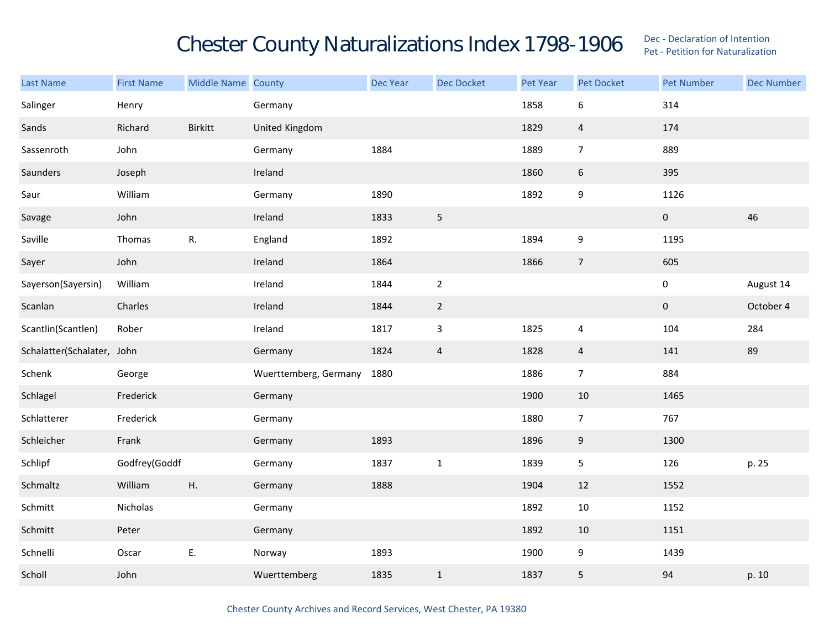## Chester County Naturalizations Index 1798-1906 Dec - Declaration of Intention Contention

| <b>Last Name</b>           | <b>First Name</b> | Middle Name County |                       | Dec Year | <b>Dec Docket</b> | Pet Year | Pet Docket     | <b>Pet Number</b>   | <b>Dec Number</b> |
|----------------------------|-------------------|--------------------|-----------------------|----------|-------------------|----------|----------------|---------------------|-------------------|
| Salinger                   | Henry             |                    | Germany               |          |                   | 1858     | 6              | 314                 |                   |
| Sands                      | Richard           | Birkitt            | United Kingdom        |          |                   | 1829     | $\overline{4}$ | 174                 |                   |
| Sassenroth                 | John              |                    | Germany               | 1884     |                   | 1889     | $\overline{7}$ | 889                 |                   |
| Saunders                   | Joseph            |                    | Ireland               |          |                   | 1860     | $6\phantom{.}$ | 395                 |                   |
| Saur                       | William           |                    | Germany               | 1890     |                   | 1892     | 9              | 1126                |                   |
| Savage                     | John              |                    | Ireland               | 1833     | $\mathsf S$       |          |                | $\pmb{0}$           | 46                |
| Saville                    | Thomas            | ${\sf R}.$         | England               | 1892     |                   | 1894     | 9              | 1195                |                   |
| Sayer                      | John              |                    | Ireland               | 1864     |                   | 1866     | $\overline{7}$ | 605                 |                   |
| Sayerson(Sayersin)         | William           |                    | Ireland               | 1844     | $\sqrt{2}$        |          |                | $\pmb{0}$           | August 14         |
| Scanlan                    | Charles           |                    | Ireland               | 1844     | $\overline{2}$    |          |                | $\mathsf{O}\xspace$ | October 4         |
| Scantlin(Scantlen)         | Rober             |                    | Ireland               | 1817     | $\mathsf 3$       | 1825     | 4              | 104                 | 284               |
| Schalatter(Schalater, John |                   |                    | Germany               | 1824     | $\overline{4}$    | 1828     | $\overline{4}$ | 141                 | 89                |
| Schenk                     | George            |                    | Wuerttemberg, Germany | 1880     |                   | 1886     | $\overline{7}$ | 884                 |                   |
| Schlagel                   | Frederick         |                    | Germany               |          |                   | 1900     | 10             | 1465                |                   |
| Schlatterer                | Frederick         |                    | Germany               |          |                   | 1880     | $\overline{7}$ | 767                 |                   |
| Schleicher                 | Frank             |                    | Germany               | 1893     |                   | 1896     | $9\,$          | 1300                |                   |
| Schlipf                    | Godfrey(Goddf     |                    | Germany               | 1837     | $\mathbf 1$       | 1839     | 5              | 126                 | p. 25             |
| Schmaltz                   | William           | Η.                 | Germany               | 1888     |                   | 1904     | 12             | 1552                |                   |
| Schmitt                    | Nicholas          |                    | Germany               |          |                   | 1892     | $10\,$         | 1152                |                   |
| Schmitt                    | Peter             |                    | Germany               |          |                   | 1892     | $10\,$         | 1151                |                   |
| Schnelli                   | Oscar             | Ε.                 | Norway                | 1893     |                   | 1900     | 9              | 1439                |                   |
| Scholl                     | John              |                    | Wuerttemberg          | 1835     | $\mathbf 1$       | 1837     | $\mathsf S$    | 94                  | p. 10             |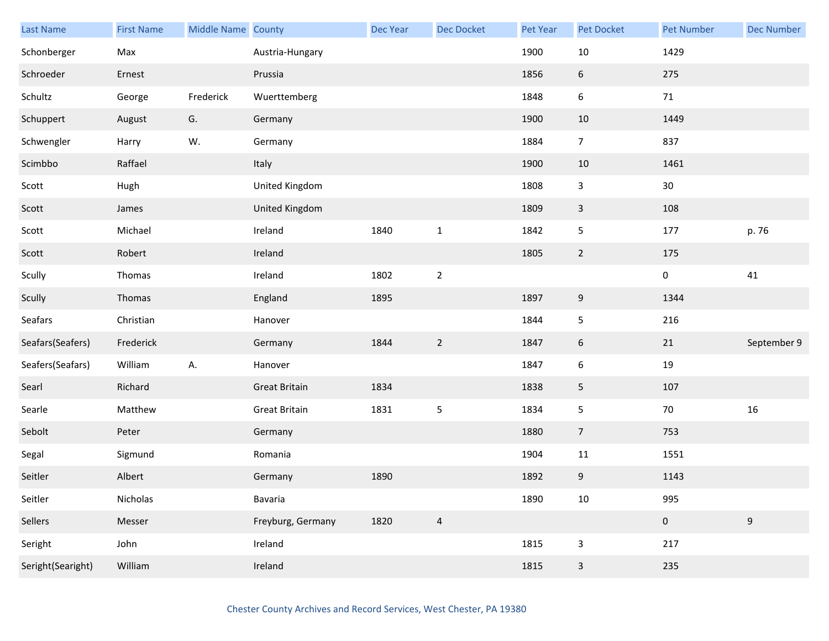| <b>Last Name</b>  | <b>First Name</b> | Middle Name County |                      | <b>Dec Year</b> | <b>Dec Docket</b> | Pet Year | <b>Pet Docket</b> | <b>Pet Number</b> | <b>Dec Number</b> |
|-------------------|-------------------|--------------------|----------------------|-----------------|-------------------|----------|-------------------|-------------------|-------------------|
| Schonberger       | Max               |                    | Austria-Hungary      |                 |                   | 1900     | $10\,$            | 1429              |                   |
| Schroeder         | Ernest            |                    | Prussia              |                 |                   | 1856     | $6\,$             | 275               |                   |
| Schultz           | George            | Frederick          | Wuerttemberg         |                 |                   | 1848     | $\boldsymbol{6}$  | 71                |                   |
| Schuppert         | August            | G.                 | Germany              |                 |                   | 1900     | 10                | 1449              |                   |
| Schwengler        | Harry             | W.                 | Germany              |                 |                   | 1884     | $\overline{7}$    | 837               |                   |
| Scimbbo           | Raffael           |                    | Italy                |                 |                   | 1900     | $10\,$            | 1461              |                   |
| Scott             | Hugh              |                    | United Kingdom       |                 |                   | 1808     | $\mathbf{3}$      | 30                |                   |
| Scott             | James             |                    | United Kingdom       |                 |                   | 1809     | $\mathbf{3}$      | 108               |                   |
| Scott             | Michael           |                    | Ireland              | 1840            | $\mathbf 1$       | 1842     | 5                 | 177               | p. 76             |
| Scott             | Robert            |                    | Ireland              |                 |                   | 1805     | $2\overline{ }$   | 175               |                   |
| Scully            | Thomas            |                    | Ireland              | 1802            | $\mathbf 2$       |          |                   | $\pmb{0}$         | 41                |
| Scully            | Thomas            |                    | England              | 1895            |                   | 1897     | $\boldsymbol{9}$  | 1344              |                   |
| Seafars           | Christian         |                    | Hanover              |                 |                   | 1844     | 5                 | 216               |                   |
| Seafars(Seafers)  | Frederick         |                    | Germany              | 1844            | $\overline{2}$    | 1847     | $6\phantom{.}6$   | 21                | September 9       |
| Seafers(Seafars)  | William           | А.                 | Hanover              |                 |                   | 1847     | $\boldsymbol{6}$  | 19                |                   |
| Searl             | Richard           |                    | <b>Great Britain</b> | 1834            |                   | 1838     | 5                 | 107               |                   |
| Searle            | Matthew           |                    | <b>Great Britain</b> | 1831            | $\overline{5}$    | 1834     | 5                 | $70\,$            | 16                |
| Sebolt            | Peter             |                    | Germany              |                 |                   | 1880     | $\overline{7}$    | 753               |                   |
| Segal             | Sigmund           |                    | Romania              |                 |                   | 1904     | 11                | 1551              |                   |
| Seitler           | Albert            |                    | Germany              | 1890            |                   | 1892     | $\boldsymbol{9}$  | 1143              |                   |
| Seitler           | Nicholas          |                    | Bavaria              |                 |                   | 1890     | $10\,$            | 995               |                   |
| Sellers           | Messer            |                    | Freyburg, Germany    | 1820            | $\overline{4}$    |          |                   | $\pmb{0}$         | $9\,$             |
| Seright           | John              |                    | Ireland              |                 |                   | 1815     | $\mathsf{3}$      | 217               |                   |
| Seright(Searight) | William           |                    | Ireland              |                 |                   | 1815     | $\mathbf{3}$      | 235               |                   |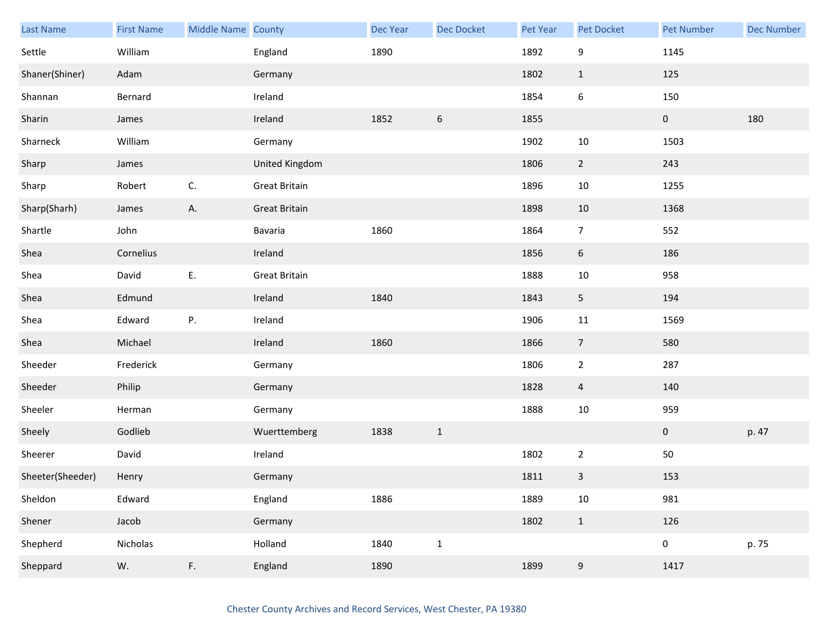| Last Name        | <b>First Name</b> | Middle Name County |                      | Dec Year | Dec Docket   | Pet Year | Pet Docket       | <b>Pet Number</b> | <b>Dec Number</b> |
|------------------|-------------------|--------------------|----------------------|----------|--------------|----------|------------------|-------------------|-------------------|
| Settle           | William           |                    | England              | 1890     |              | 1892     | 9                | 1145              |                   |
| Shaner(Shiner)   | Adam              |                    | Germany              |          |              | 1802     | $\mathbf{1}$     | 125               |                   |
| Shannan          | Bernard           |                    | Ireland              |          |              | 1854     | $\boldsymbol{6}$ | 150               |                   |
| Sharin           | James             |                    | Ireland              | 1852     | 6            | 1855     |                  | $\mathbf{0}$      | 180               |
| Sharneck         | William           |                    | Germany              |          |              | 1902     | $10\,$           | 1503              |                   |
| Sharp            | James             |                    | United Kingdom       |          |              | 1806     | $\overline{2}$   | 243               |                   |
| Sharp            | Robert            | C.                 | <b>Great Britain</b> |          |              | 1896     | $10\,$           | 1255              |                   |
| Sharp(Sharh)     | James             | А.                 | <b>Great Britain</b> |          |              | 1898     | $10\,$           | 1368              |                   |
| Shartle          | John              |                    | Bavaria              | 1860     |              | 1864     | $\overline{7}$   | 552               |                   |
| Shea             | Cornelius         |                    | Ireland              |          |              | 1856     | $\sqrt{6}$       | 186               |                   |
| Shea             | David             | Ε.                 | <b>Great Britain</b> |          |              | 1888     | 10               | 958               |                   |
| Shea             | Edmund            |                    | Ireland              | 1840     |              | 1843     | 5                | 194               |                   |
| Shea             | Edward            | Ρ.                 | Ireland              |          |              | 1906     | 11               | 1569              |                   |
| Shea             | Michael           |                    | Ireland              | 1860     |              | 1866     | $\overline{7}$   | 580               |                   |
| Sheeder          | Frederick         |                    | Germany              |          |              | 1806     | $\overline{2}$   | 287               |                   |
| Sheeder          | Philip            |                    | Germany              |          |              | 1828     | $\overline{4}$   | 140               |                   |
| Sheeler          | Herman            |                    | Germany              |          |              | 1888     | $10\,$           | 959               |                   |
| Sheely           | Godlieb           |                    | Wuerttemberg         | 1838     | $\mathbf{1}$ |          |                  | $\mathbf 0$       | p. 47             |
| Sheerer          | David             |                    | Ireland              |          |              | 1802     | $\mathbf 2$      | $50\,$            |                   |
| Sheeter(Sheeder) | Henry             |                    | Germany              |          |              | 1811     | $\mathsf 3$      | 153               |                   |
| Sheldon          | Edward            |                    | England              | 1886     |              | 1889     | $10\,$           | 981               |                   |
| Shener           | Jacob             |                    | Germany              |          |              | 1802     | $\mathbf{1}$     | 126               |                   |
| Shepherd         | Nicholas          |                    | Holland              | 1840     | $\mathbf{1}$ |          |                  | $\pmb{0}$         | p. 75             |
| Sheppard         | W.                | $\mathsf F,$       | England              | 1890     |              | 1899     | $\boldsymbol{9}$ | 1417              |                   |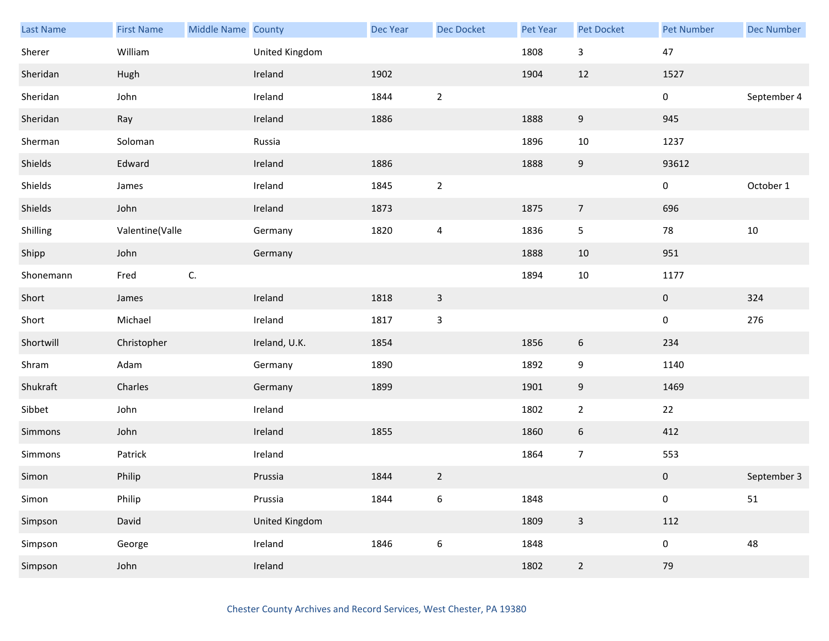| Last Name | <b>First Name</b> | Middle Name County |                | Dec Year | Dec Docket              | Pet Year | Pet Docket       | <b>Pet Number</b> | <b>Dec Number</b> |
|-----------|-------------------|--------------------|----------------|----------|-------------------------|----------|------------------|-------------------|-------------------|
| Sherer    | William           |                    | United Kingdom |          |                         | 1808     | $\mathsf{3}$     | 47                |                   |
| Sheridan  | Hugh              |                    | Ireland        | 1902     |                         | 1904     | 12               | 1527              |                   |
| Sheridan  | John              |                    | Ireland        | 1844     | $\overline{2}$          |          |                  | 0                 | September 4       |
| Sheridan  | Ray               |                    | Ireland        | 1886     |                         | 1888     | 9                | 945               |                   |
| Sherman   | Soloman           |                    | Russia         |          |                         | 1896     | $10\,$           | 1237              |                   |
| Shields   | Edward            |                    | Ireland        | 1886     |                         | 1888     | $\boldsymbol{9}$ | 93612             |                   |
| Shields   | James             |                    | Ireland        | 1845     | $\sqrt{2}$              |          |                  | 0                 | October 1         |
| Shields   | John              |                    | Ireland        | 1873     |                         | 1875     | $\overline{7}$   | 696               |                   |
| Shilling  | Valentine(Valle   |                    | Germany        | 1820     | $\overline{\mathbf{4}}$ | 1836     | 5                | 78                | $10\,$            |
| Shipp     | John              |                    | Germany        |          |                         | 1888     | 10               | 951               |                   |
| Shonemann | Fred              | $\mathsf{C}.$      |                |          |                         | 1894     | $10\,$           | 1177              |                   |
| Short     | James             |                    | Ireland        | 1818     | $\mathbf{3}$            |          |                  | $\mathbf 0$       | 324               |
| Short     | Michael           |                    | Ireland        | 1817     | $\mathbf{3}$            |          |                  | $\pmb{0}$         | 276               |
| Shortwill | Christopher       |                    | Ireland, U.K.  | 1854     |                         | 1856     | 6                | 234               |                   |
| Shram     | Adam              |                    | Germany        | 1890     |                         | 1892     | 9                | 1140              |                   |
| Shukraft  | Charles           |                    | Germany        | 1899     |                         | 1901     | 9                | 1469              |                   |
| Sibbet    | John              |                    | Ireland        |          |                         | 1802     | $\mathbf{2}$     | 22                |                   |
| Simmons   | John              |                    | Ireland        | 1855     |                         | 1860     | 6                | 412               |                   |
| Simmons   | Patrick           |                    | Ireland        |          |                         | 1864     | $\overline{7}$   | 553               |                   |
| Simon     | Philip            |                    | Prussia        | 1844     | $\overline{2}$          |          |                  | $\pmb{0}$         | September 3       |
| Simon     | Philip            |                    | Prussia        | 1844     | $\boldsymbol{6}$        | 1848     |                  | $\pmb{0}$         | 51                |
| Simpson   | David             |                    | United Kingdom |          |                         | 1809     | $\overline{3}$   | 112               |                   |
| Simpson   | George            |                    | Ireland        | 1846     | $\boldsymbol{6}$        | 1848     |                  | 0                 | 48                |
| Simpson   | John              |                    | Ireland        |          |                         | 1802     | $\overline{2}$   | 79                |                   |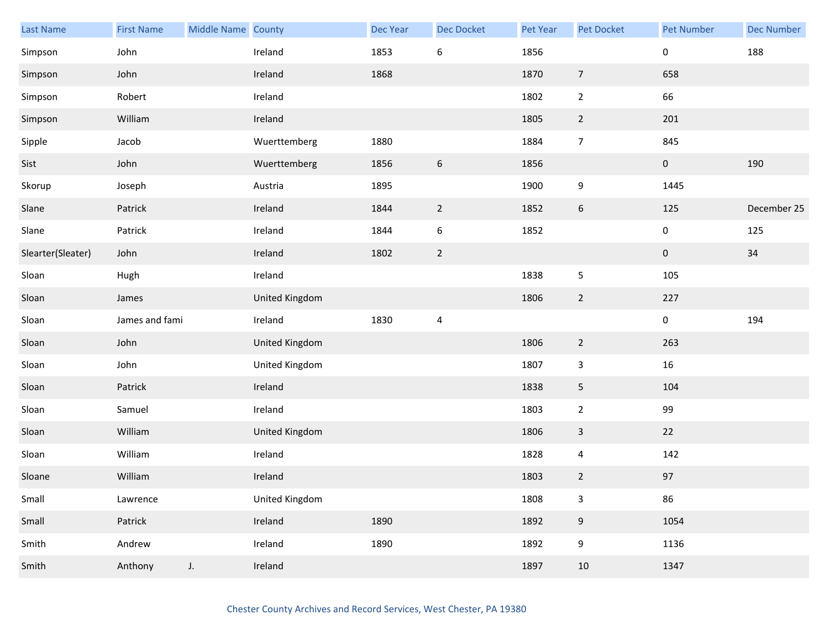| <b>Last Name</b>  | <b>First Name</b> | Middle Name County |                | <b>Dec Year</b> | <b>Dec Docket</b> | Pet Year | <b>Pet Docket</b>       | <b>Pet Number</b> | <b>Dec Number</b> |
|-------------------|-------------------|--------------------|----------------|-----------------|-------------------|----------|-------------------------|-------------------|-------------------|
| Simpson           | John              |                    | Ireland        | 1853            | $\boldsymbol{6}$  | 1856     |                         | 0                 | 188               |
| Simpson           | John              |                    | Ireland        | 1868            |                   | 1870     | $\overline{7}$          | 658               |                   |
| Simpson           | Robert            |                    | Ireland        |                 |                   | 1802     | $\overline{2}$          | 66                |                   |
| Simpson           | William           |                    | Ireland        |                 |                   | 1805     | $\overline{2}$          | 201               |                   |
| Sipple            | Jacob             |                    | Wuerttemberg   | 1880            |                   | 1884     | $\overline{7}$          | 845               |                   |
| Sist              | John              |                    | Wuerttemberg   | 1856            | $\boldsymbol{6}$  | 1856     |                         | $\pmb{0}$         | 190               |
| Skorup            | Joseph            |                    | Austria        | 1895            |                   | 1900     | 9                       | 1445              |                   |
| Slane             | Patrick           |                    | Ireland        | 1844            | $\overline{2}$    | 1852     | 6                       | 125               | December 25       |
| Slane             | Patrick           |                    | Ireland        | 1844            | $\boldsymbol{6}$  | 1852     |                         | 0                 | 125               |
| Slearter(Sleater) | John              |                    | Ireland        | 1802            | $\overline{2}$    |          |                         | $\pmb{0}$         | $34\,$            |
| Sloan             | Hugh              |                    | Ireland        |                 |                   | 1838     | 5                       | 105               |                   |
| Sloan             | James             |                    | United Kingdom |                 |                   | 1806     | $\overline{2}$          | 227               |                   |
| Sloan             | James and fami    |                    | Ireland        | 1830            | 4                 |          |                         | 0                 | 194               |
| Sloan             | John              |                    | United Kingdom |                 |                   | 1806     | $\overline{2}$          | 263               |                   |
| Sloan             | John              |                    | United Kingdom |                 |                   | 1807     | $\overline{\mathbf{3}}$ | 16                |                   |
| Sloan             | Patrick           |                    | Ireland        |                 |                   | 1838     | 5                       | 104               |                   |
| Sloan             | Samuel            |                    | Ireland        |                 |                   | 1803     | $\overline{2}$          | 99                |                   |
| Sloan             | William           |                    | United Kingdom |                 |                   | 1806     | 3                       | 22                |                   |
| Sloan             | William           |                    | Ireland        |                 |                   | 1828     | 4                       | 142               |                   |
| Sloane            | William           |                    | Ireland        |                 |                   | 1803     | $\overline{2}$          | 97                |                   |
| Small             | Lawrence          |                    | United Kingdom |                 |                   | 1808     | 3                       | 86                |                   |
| Small             | Patrick           |                    | Ireland        | 1890            |                   | 1892     | $9\,$                   | 1054              |                   |
| Smith             | Andrew            |                    | Ireland        | 1890            |                   | 1892     | 9                       | 1136              |                   |
| Smith             | Anthony           | $J_{\star}$        | Ireland        |                 |                   | 1897     | 10                      | 1347              |                   |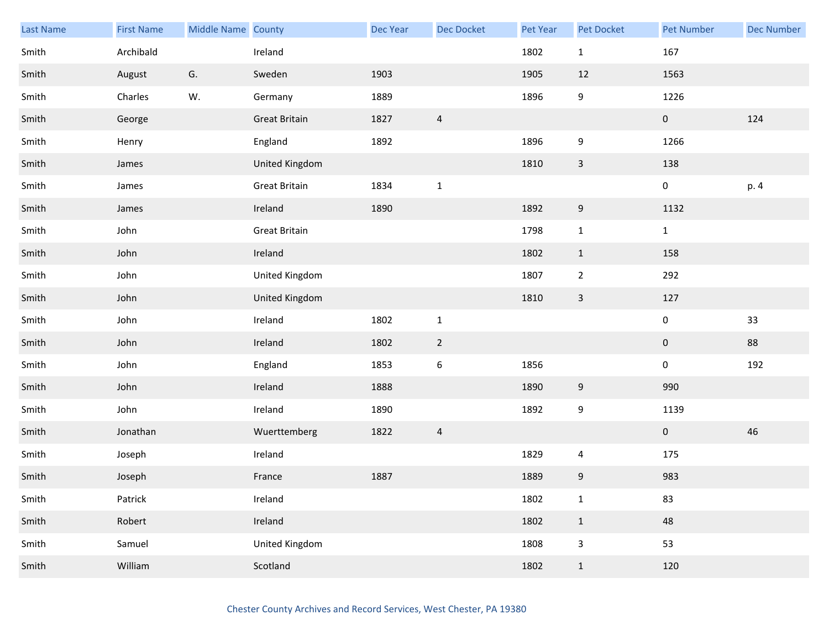| <b>Last Name</b> | <b>First Name</b> | Middle Name County |                      | Dec Year | Dec Docket       | Pet Year | Pet Docket       | <b>Pet Number</b> | <b>Dec Number</b> |
|------------------|-------------------|--------------------|----------------------|----------|------------------|----------|------------------|-------------------|-------------------|
| Smith            | Archibald         |                    | Ireland              |          |                  | 1802     | $\mathbf{1}$     | 167               |                   |
| Smith            | August            | G.                 | Sweden               | 1903     |                  | 1905     | 12               | 1563              |                   |
| Smith            | Charles           | W.                 | Germany              | 1889     |                  | 1896     | 9                | 1226              |                   |
| Smith            | George            |                    | <b>Great Britain</b> | 1827     | $\overline{4}$   |          |                  | $\mathbf 0$       | 124               |
| Smith            | Henry             |                    | England              | 1892     |                  | 1896     | 9                | 1266              |                   |
| Smith            | James             |                    | United Kingdom       |          |                  | 1810     | $\mathsf{3}$     | 138               |                   |
| Smith            | James             |                    | <b>Great Britain</b> | 1834     | $\mathbf{1}$     |          |                  | $\pmb{0}$         | p. 4              |
| Smith            | James             |                    | Ireland              | 1890     |                  | 1892     | $\boldsymbol{9}$ | 1132              |                   |
| Smith            | John              |                    | <b>Great Britain</b> |          |                  | 1798     | $\mathbf{1}$     | $\mathbf{1}$      |                   |
| Smith            | John              |                    | Ireland              |          |                  | 1802     | $\mathbf{1}$     | 158               |                   |
| Smith            | John              |                    | United Kingdom       |          |                  | 1807     | $\overline{2}$   | 292               |                   |
| Smith            | John              |                    | United Kingdom       |          |                  | 1810     | $\mathbf{3}$     | 127               |                   |
| Smith            | John              |                    | Ireland              | 1802     | $\mathbf 1$      |          |                  | $\pmb{0}$         | 33                |
| Smith            | John              |                    | Ireland              | 1802     | $\overline{2}$   |          |                  | $\mathbf 0$       | 88                |
| Smith            | John              |                    | England              | 1853     | $\boldsymbol{6}$ | 1856     |                  | $\pmb{0}$         | 192               |
| Smith            | John              |                    | Ireland              | 1888     |                  | 1890     | 9                | 990               |                   |
| Smith            | John              |                    | Ireland              | 1890     |                  | 1892     | 9                | 1139              |                   |
| Smith            | Jonathan          |                    | Wuerttemberg         | 1822     | $\overline{a}$   |          |                  | $\boldsymbol{0}$  | 46                |
| Smith            | Joseph            |                    | Ireland              |          |                  | 1829     | 4                | 175               |                   |
| Smith            | Joseph            |                    | France               | 1887     |                  | 1889     | $\boldsymbol{9}$ | 983               |                   |
| Smith            | Patrick           |                    | Ireland              |          |                  | 1802     | $\mathbf 1$      | 83                |                   |
| Smith            | Robert            |                    | Ireland              |          |                  | 1802     | $\mathbf{1}$     | 48                |                   |
| Smith            | Samuel            |                    | United Kingdom       |          |                  | 1808     | $\mathsf 3$      | 53                |                   |
| Smith            | William           |                    | Scotland             |          |                  | 1802     | $\mathbf{1}$     | 120               |                   |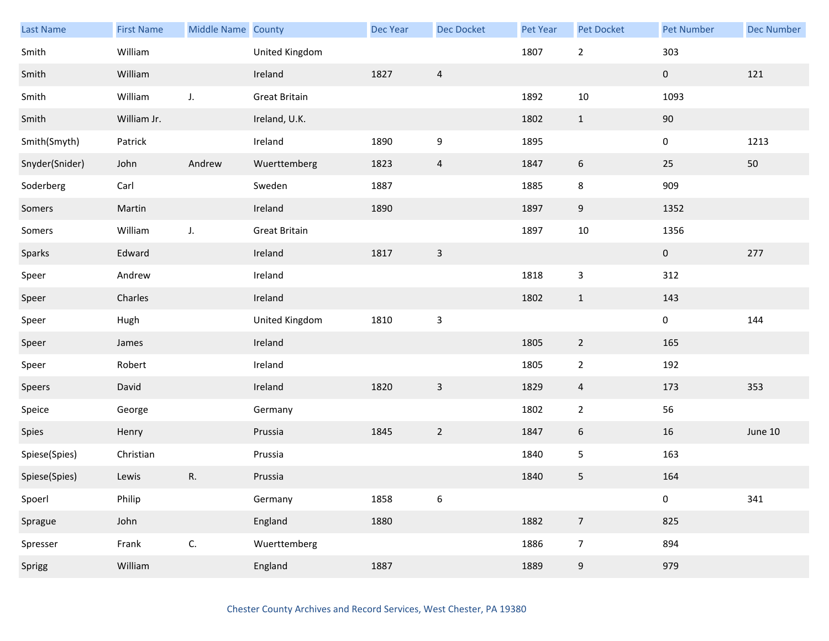| Last Name      | <b>First Name</b> | Middle Name County |                      | Dec Year | Dec Docket       | Pet Year | Pet Docket     | <b>Pet Number</b> | <b>Dec Number</b> |
|----------------|-------------------|--------------------|----------------------|----------|------------------|----------|----------------|-------------------|-------------------|
| Smith          | William           |                    | United Kingdom       |          |                  | 1807     | $\overline{2}$ | 303               |                   |
| Smith          | William           |                    | Ireland              | 1827     | $\overline{4}$   |          |                | $\mathbf 0$       | 121               |
| Smith          | William           | J.                 | <b>Great Britain</b> |          |                  | 1892     | 10             | 1093              |                   |
| Smith          | William Jr.       |                    | Ireland, U.K.        |          |                  | 1802     | $\mathbf{1}$   | $90\,$            |                   |
| Smith(Smyth)   | Patrick           |                    | Ireland              | 1890     | 9                | 1895     |                | 0                 | 1213              |
| Snyder(Snider) | John              | Andrew             | Wuerttemberg         | 1823     | $\overline{a}$   | 1847     | 6              | $25\,$            | $50\,$            |
| Soderberg      | Carl              |                    | Sweden               | 1887     |                  | 1885     | 8              | 909               |                   |
| Somers         | Martin            |                    | Ireland              | 1890     |                  | 1897     | 9              | 1352              |                   |
| Somers         | William           | J.                 | <b>Great Britain</b> |          |                  | 1897     | $10\,$         | 1356              |                   |
| Sparks         | Edward            |                    | Ireland              | 1817     | $\mathsf 3$      |          |                | $\mathbf 0$       | 277               |
| Speer          | Andrew            |                    | Ireland              |          |                  | 1818     | 3              | 312               |                   |
| Speer          | Charles           |                    | Ireland              |          |                  | 1802     | $\mathbf{1}$   | 143               |                   |
| Speer          | Hugh              |                    | United Kingdom       | 1810     | $\mathsf 3$      |          |                | $\pmb{0}$         | 144               |
| Speer          | James             |                    | Ireland              |          |                  | 1805     | $\overline{2}$ | 165               |                   |
| Speer          | Robert            |                    | Ireland              |          |                  | 1805     | $\overline{2}$ | 192               |                   |
| Speers         | David             |                    | Ireland              | 1820     | $\mathsf 3$      | 1829     | $\overline{4}$ | 173               | 353               |
| Speice         | George            |                    | Germany              |          |                  | 1802     | $\mathbf{2}$   | 56                |                   |
| Spies          | Henry             |                    | Prussia              | 1845     | $\overline{2}$   | 1847     | 6              | 16                | June 10           |
| Spiese(Spies)  | Christian         |                    | Prussia              |          |                  | 1840     | 5              | 163               |                   |
| Spiese(Spies)  | Lewis             | ${\sf R}.$         | Prussia              |          |                  | 1840     | 5              | 164               |                   |
| Spoerl         | Philip            |                    | Germany              | 1858     | $\boldsymbol{6}$ |          |                | $\pmb{0}$         | 341               |
| Sprague        | John              |                    | England              | 1880     |                  | 1882     | $\overline{7}$ | 825               |                   |
| Spresser       | Frank             | $\mathsf{C}.$      | Wuerttemberg         |          |                  | 1886     | $\overline{7}$ | 894               |                   |
| Sprigg         | William           |                    | England              | 1887     |                  | 1889     | 9              | 979               |                   |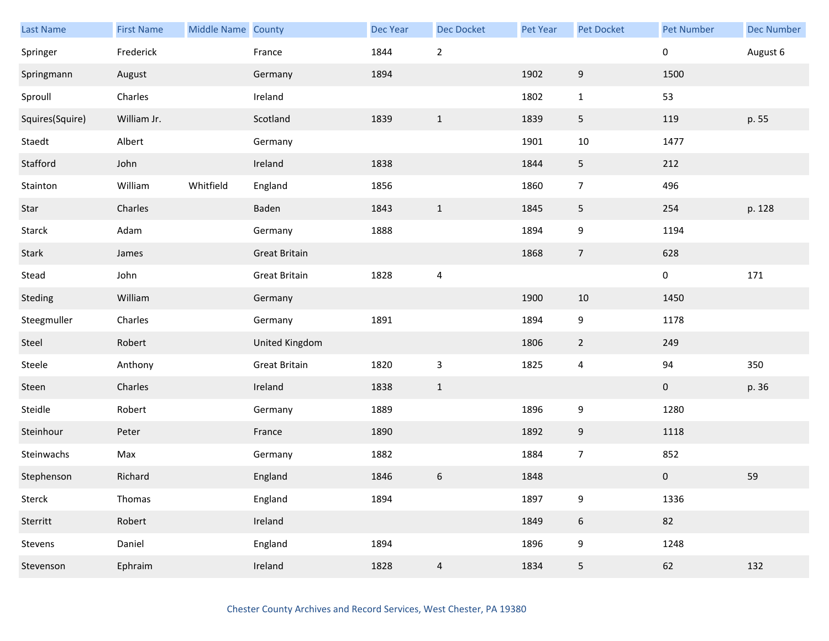| Last Name       | <b>First Name</b> | Middle Name County |                      | <b>Dec Year</b> | Dec Docket              | Pet Year | Pet Docket       | <b>Pet Number</b> | <b>Dec Number</b> |
|-----------------|-------------------|--------------------|----------------------|-----------------|-------------------------|----------|------------------|-------------------|-------------------|
| Springer        | Frederick         |                    | France               | 1844            | $\mathbf 2$             |          |                  | $\pmb{0}$         | August 6          |
| Springmann      | August            |                    | Germany              | 1894            |                         | 1902     | $9\,$            | 1500              |                   |
| Sproull         | Charles           |                    | Ireland              |                 |                         | 1802     | $\mathbf{1}$     | 53                |                   |
| Squires(Squire) | William Jr.       |                    | Scotland             | 1839            | $\mathbf{1}$            | 1839     | 5                | 119               | p. 55             |
| Staedt          | Albert            |                    | Germany              |                 |                         | 1901     | $10\,$           | 1477              |                   |
| Stafford        | John              |                    | Ireland              | 1838            |                         | 1844     | $\overline{5}$   | 212               |                   |
| Stainton        | William           | Whitfield          | England              | 1856            |                         | 1860     | $\overline{7}$   | 496               |                   |
| Star            | Charles           |                    | Baden                | 1843            | $\mathbf{1}$            | 1845     | 5                | 254               | p. 128            |
| Starck          | Adam              |                    | Germany              | 1888            |                         | 1894     | 9                | 1194              |                   |
| Stark           | James             |                    | <b>Great Britain</b> |                 |                         | 1868     | $\overline{7}$   | 628               |                   |
| Stead           | John              |                    | <b>Great Britain</b> | 1828            | $\overline{\mathbf{4}}$ |          |                  | $\pmb{0}$         | 171               |
| Steding         | William           |                    | Germany              |                 |                         | 1900     | 10               | 1450              |                   |
| Steegmuller     | Charles           |                    | Germany              | 1891            |                         | 1894     | $\boldsymbol{9}$ | 1178              |                   |
| Steel           | Robert            |                    | United Kingdom       |                 |                         | 1806     | $\overline{2}$   | 249               |                   |
| Steele          | Anthony           |                    | <b>Great Britain</b> | 1820            | $\mathbf{3}$            | 1825     | $\overline{4}$   | 94                | 350               |
| Steen           | Charles           |                    | Ireland              | 1838            | $\mathbf{1}$            |          |                  | $\bf{0}$          | p. 36             |
| Steidle         | Robert            |                    | Germany              | 1889            |                         | 1896     | 9                | 1280              |                   |
| Steinhour       | Peter             |                    | France               | 1890            |                         | 1892     | 9                | 1118              |                   |
| Steinwachs      | Max               |                    | Germany              | 1882            |                         | 1884     | $\overline{7}$   | 852               |                   |
| Stephenson      | Richard           |                    | England              | 1846            | $\boldsymbol{6}$        | 1848     |                  | $\pmb{0}$         | 59                |
| Sterck          | Thomas            |                    | England              | 1894            |                         | 1897     | $\boldsymbol{9}$ | 1336              |                   |
| Sterritt        | Robert            |                    | Ireland              |                 |                         | 1849     | $\boldsymbol{6}$ | 82                |                   |
| Stevens         | Daniel            |                    | England              | 1894            |                         | 1896     | 9                | 1248              |                   |
| Stevenson       | Ephraim           |                    | Ireland              | 1828            | $\overline{4}$          | 1834     | 5                | 62                | 132               |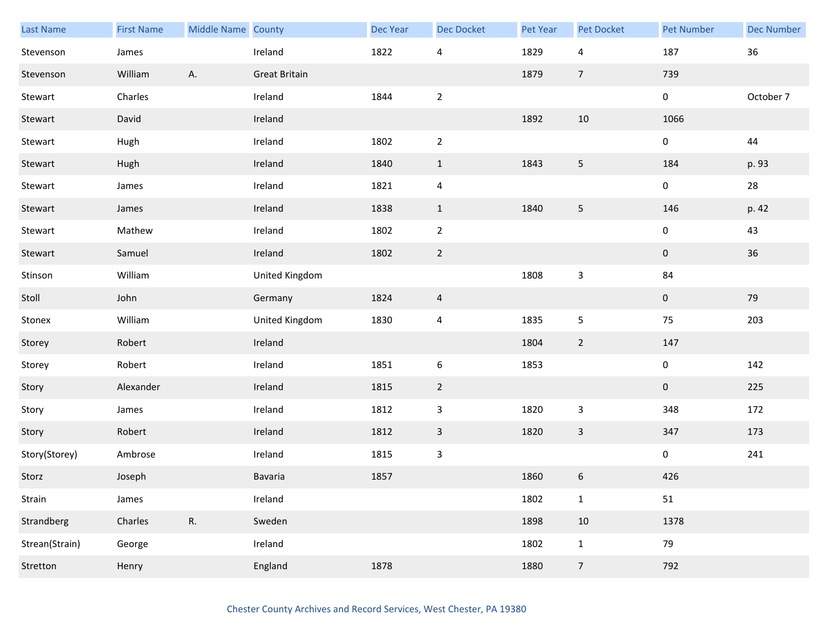| Last Name      | <b>First Name</b> | Middle Name County |                      | Dec Year | Dec Docket                | Pet Year | Pet Docket                | <b>Pet Number</b> | <b>Dec Number</b> |
|----------------|-------------------|--------------------|----------------------|----------|---------------------------|----------|---------------------------|-------------------|-------------------|
| Stevenson      | James             |                    | Ireland              | 1822     | 4                         | 1829     | 4                         | 187               | 36                |
| Stevenson      | William           | Α.                 | <b>Great Britain</b> |          |                           | 1879     | $\overline{7}$            | 739               |                   |
| Stewart        | Charles           |                    | Ireland              | 1844     | $\overline{2}$            |          |                           | $\pmb{0}$         | October 7         |
| Stewart        | David             |                    | Ireland              |          |                           | 1892     | $10\,$                    | 1066              |                   |
| Stewart        | Hugh              |                    | Ireland              | 1802     | $\overline{2}$            |          |                           | 0                 | 44                |
| Stewart        | Hugh              |                    | Ireland              | 1840     | $\mathbf{1}$              | 1843     | $\overline{\mathbf{5}}$   | 184               | p. 93             |
| Stewart        | James             |                    | Ireland              | 1821     | $\overline{a}$            |          |                           | $\pmb{0}$         | 28                |
| Stewart        | James             |                    | Ireland              | 1838     | $\mathbf{1}$              | 1840     | 5                         | 146               | p. 42             |
| Stewart        | Mathew            |                    | Ireland              | 1802     | $\overline{2}$            |          |                           | $\pmb{0}$         | 43                |
| Stewart        | Samuel            |                    | Ireland              | 1802     | $\overline{2}$            |          |                           | $\pmb{0}$         | $36\,$            |
| Stinson        | William           |                    | United Kingdom       |          |                           | 1808     | $\mathsf 3$               | 84                |                   |
| Stoll          | John              |                    | Germany              | 1824     | $\overline{4}$            |          |                           | $\pmb{0}$         | 79                |
| Stonex         | William           |                    | United Kingdom       | 1830     | $\overline{4}$            | 1835     | 5                         | 75                | 203               |
| Storey         | Robert            |                    | Ireland              |          |                           | 1804     | $\overline{2}$            | 147               |                   |
| Storey         | Robert            |                    | Ireland              | 1851     | $6\,$                     | 1853     |                           | $\pmb{0}$         | 142               |
| Story          | Alexander         |                    | Ireland              | 1815     | $\overline{2}$            |          |                           | $\boldsymbol{0}$  | 225               |
| Story          | James             |                    | Ireland              | 1812     | $\ensuremath{\mathsf{3}}$ | 1820     | $\ensuremath{\mathsf{3}}$ | 348               | 172               |
| Story          | Robert            |                    | Ireland              | 1812     | $\overline{3}$            | 1820     | $\mathbf{3}$              | 347               | 173               |
| Story(Storey)  | Ambrose           |                    | Ireland              | 1815     | $\mathbf{3}$              |          |                           | $\pmb{0}$         | 241               |
| Storz          | Joseph            |                    | Bavaria              | 1857     |                           | 1860     | $\boldsymbol{6}$          | 426               |                   |
| Strain         | James             |                    | Ireland              |          |                           | 1802     | $\mathbf{1}$              | 51                |                   |
| Strandberg     | Charles           | R.                 | Sweden               |          |                           | 1898     | $10\,$                    | 1378              |                   |
| Strean(Strain) | George            |                    | Ireland              |          |                           | 1802     | $\mathbf{1}$              | 79                |                   |
| Stretton       | Henry             |                    | England              | 1878     |                           | 1880     | $\overline{7}$            | 792               |                   |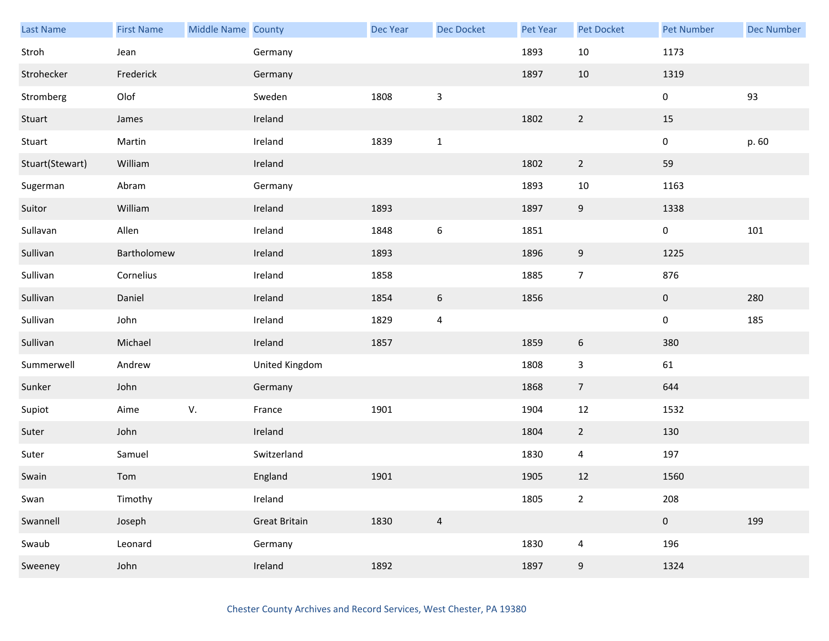| Last Name       | <b>First Name</b> | Middle Name County |                | <b>Dec Year</b> | Dec Docket              | Pet Year | <b>Pet Docket</b>        | <b>Pet Number</b> | <b>Dec Number</b> |
|-----------------|-------------------|--------------------|----------------|-----------------|-------------------------|----------|--------------------------|-------------------|-------------------|
| Stroh           | Jean              |                    | Germany        |                 |                         | 1893     | $10\,$                   | 1173              |                   |
| Strohecker      | Frederick         |                    | Germany        |                 |                         | 1897     | 10                       | 1319              |                   |
| Stromberg       | Olof              |                    | Sweden         | 1808            | $\mathsf{3}$            |          |                          | $\pmb{0}$         | 93                |
| Stuart          | James             |                    | Ireland        |                 |                         | 1802     | $\overline{2}$           | 15                |                   |
| Stuart          | Martin            |                    | Ireland        | 1839            | $\mathbf{1}$            |          |                          | $\pmb{0}$         | p. 60             |
| Stuart(Stewart) | William           |                    | Ireland        |                 |                         | 1802     | $\overline{2}$           | 59                |                   |
| Sugerman        | Abram             |                    | Germany        |                 |                         | 1893     | $10\,$                   | 1163              |                   |
| Suitor          | William           |                    | Ireland        | 1893            |                         | 1897     | $9\,$                    | 1338              |                   |
| Sullavan        | Allen             |                    | Ireland        | 1848            | $\boldsymbol{6}$        | 1851     |                          | $\pmb{0}$         | 101               |
| Sullivan        | Bartholomew       |                    | Ireland        | 1893            |                         | 1896     | $9\,$                    | 1225              |                   |
| Sullivan        | Cornelius         |                    | Ireland        | 1858            |                         | 1885     | $\overline{7}$           | 876               |                   |
| Sullivan        | Daniel            |                    | Ireland        | 1854            | $\boldsymbol{6}$        | 1856     |                          | $\mathbf 0$       | 280               |
| Sullivan        | John              |                    | Ireland        | 1829            | $\overline{\mathbf{4}}$ |          |                          | $\pmb{0}$         | 185               |
| Sullivan        | Michael           |                    | Ireland        | 1857            |                         | 1859     | $6\phantom{.}6$          | 380               |                   |
| Summerwell      | Andrew            |                    | United Kingdom |                 |                         | 1808     | $\mathbf{3}$             | 61                |                   |
| Sunker          | John              |                    | Germany        |                 |                         | 1868     | $\overline{7}$           | 644               |                   |
| Supiot          | Aime              | V.                 | France         | 1901            |                         | 1904     | $12\,$                   | 1532              |                   |
| Suter           | John              |                    | Ireland        |                 |                         | 1804     | $\overline{2}$           | 130               |                   |
| Suter           | Samuel            |                    | Switzerland    |                 |                         | 1830     | $\overline{4}$           | 197               |                   |
| Swain           | Tom               |                    | England        | 1901            |                         | 1905     | 12                       | 1560              |                   |
| Swan            | Timothy           |                    | Ireland        |                 |                         | 1805     | $\overline{2}$           | 208               |                   |
| Swannell        | Joseph            |                    | Great Britain  | 1830            | $\overline{4}$          |          |                          | $\pmb{0}$         | 199               |
| Swaub           | Leonard           |                    | Germany        |                 |                         | 1830     | $\overline{\mathcal{A}}$ | 196               |                   |
| Sweeney         | John              |                    | Ireland        | 1892            |                         | 1897     | $9\,$                    | 1324              |                   |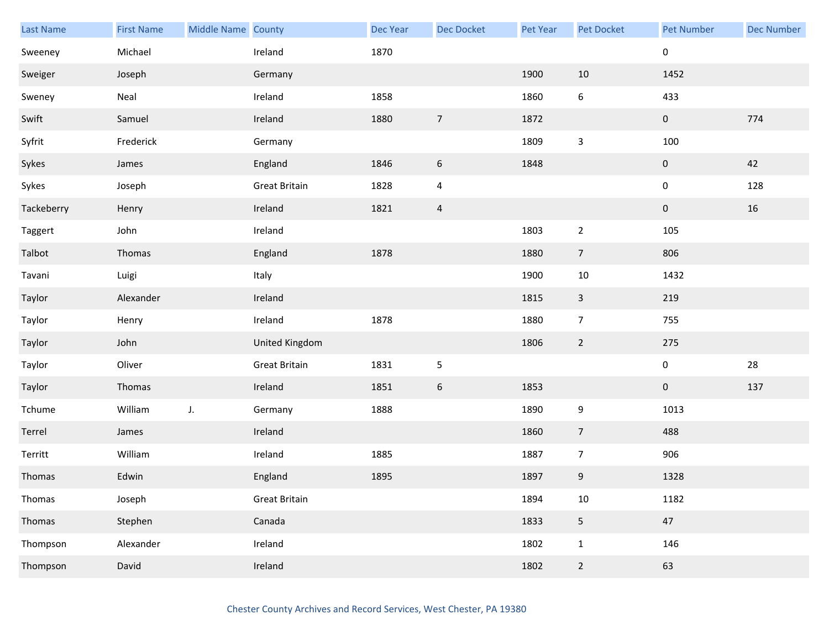| Last Name  | <b>First Name</b> | Middle Name County |                      | Dec Year | Dec Docket       | Pet Year | Pet Docket      | <b>Pet Number</b> | <b>Dec Number</b> |
|------------|-------------------|--------------------|----------------------|----------|------------------|----------|-----------------|-------------------|-------------------|
| Sweeney    | Michael           |                    | Ireland              | 1870     |                  |          |                 | 0                 |                   |
| Sweiger    | Joseph            |                    | Germany              |          |                  | 1900     | 10              | 1452              |                   |
| Sweney     | Neal              |                    | Ireland              | 1858     |                  | 1860     | 6               | 433               |                   |
| Swift      | Samuel            |                    | Ireland              | 1880     | $\overline{7}$   | 1872     |                 | $\mathbf 0$       | 774               |
| Syfrit     | Frederick         |                    | Germany              |          |                  | 1809     | 3               | 100               |                   |
| Sykes      | James             |                    | England              | 1846     | $\boldsymbol{6}$ | 1848     |                 | $\pmb{0}$         | 42                |
| Sykes      | Joseph            |                    | <b>Great Britain</b> | 1828     | $\overline{a}$   |          |                 | $\pmb{0}$         | 128               |
| Tackeberry | Henry             |                    | Ireland              | 1821     | $\overline{4}$   |          |                 | $\pmb{0}$         | 16                |
| Taggert    | John              |                    | Ireland              |          |                  | 1803     | $\mathbf 2$     | 105               |                   |
| Talbot     | Thomas            |                    | England              | 1878     |                  | 1880     | $\overline{7}$  | 806               |                   |
| Tavani     | Luigi             |                    | Italy                |          |                  | 1900     | 10              | 1432              |                   |
| Taylor     | Alexander         |                    | Ireland              |          |                  | 1815     | $\mathbf{3}$    | 219               |                   |
| Taylor     | Henry             |                    | Ireland              | 1878     |                  | 1880     | $\overline{7}$  | 755               |                   |
| Taylor     | John              |                    | United Kingdom       |          |                  | 1806     | $\overline{2}$  | 275               |                   |
| Taylor     | Oliver            |                    | <b>Great Britain</b> | 1831     | $\sf 5$          |          |                 | $\mathbf 0$       | 28                |
| Taylor     | Thomas            |                    | Ireland              | 1851     | $\sqrt{6}$       | 1853     |                 | $\mathbf 0$       | 137               |
| Tchume     | William           | J.                 | Germany              | 1888     |                  | 1890     | 9               | 1013              |                   |
| Terrel     | James             |                    | Ireland              |          |                  | 1860     | $7\overline{ }$ | 488               |                   |
| Territt    | William           |                    | Ireland              | 1885     |                  | 1887     | $\overline{7}$  | 906               |                   |
| Thomas     | Edwin             |                    | England              | 1895     |                  | 1897     | 9               | 1328              |                   |
| Thomas     | Joseph            |                    | <b>Great Britain</b> |          |                  | 1894     | $10\,$          | 1182              |                   |
| Thomas     | Stephen           |                    | Canada               |          |                  | 1833     | $\overline{5}$  | 47                |                   |
| Thompson   | Alexander         |                    | Ireland              |          |                  | 1802     | $\mathbf{1}$    | 146               |                   |
| Thompson   | David             |                    | Ireland              |          |                  | 1802     | $\overline{2}$  | 63                |                   |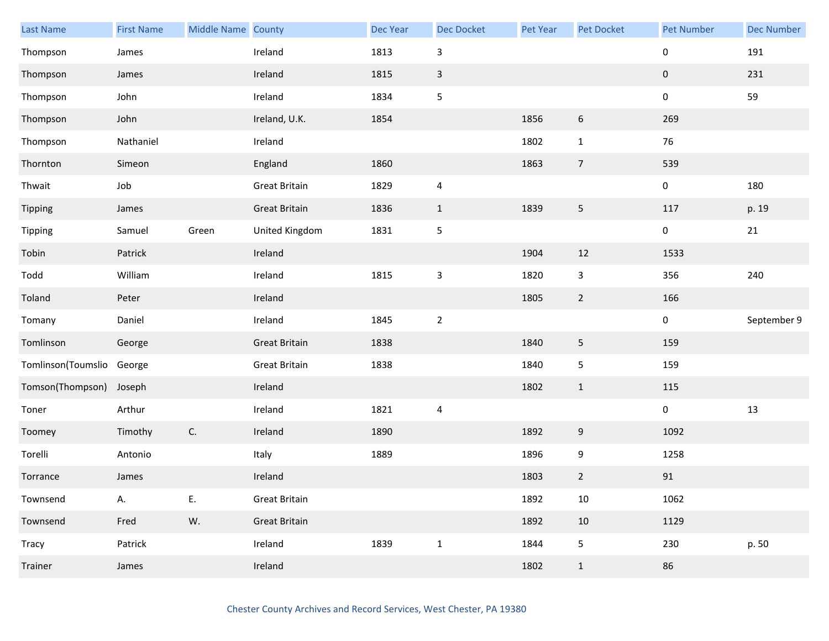| Last Name          | <b>First Name</b> | Middle Name County |                      | Dec Year | Dec Docket                | Pet Year | Pet Docket     | <b>Pet Number</b> | <b>Dec Number</b> |
|--------------------|-------------------|--------------------|----------------------|----------|---------------------------|----------|----------------|-------------------|-------------------|
| Thompson           | James             |                    | Ireland              | 1813     | $\ensuremath{\mathsf{3}}$ |          |                | $\pmb{0}$         | 191               |
| Thompson           | James             |                    | Ireland              | 1815     | $\mathsf{3}$              |          |                | $\boldsymbol{0}$  | 231               |
| Thompson           | John              |                    | Ireland              | 1834     | 5                         |          |                | $\mathbf 0$       | 59                |
| Thompson           | John              |                    | Ireland, U.K.        | 1854     |                           | 1856     | 6              | 269               |                   |
| Thompson           | Nathaniel         |                    | Ireland              |          |                           | 1802     | $\mathbf{1}$   | 76                |                   |
| Thornton           | Simeon            |                    | England              | 1860     |                           | 1863     | $\overline{7}$ | 539               |                   |
| Thwait             | Job               |                    | <b>Great Britain</b> | 1829     | $\overline{4}$            |          |                | $\mathbf 0$       | 180               |
| Tipping            | James             |                    | <b>Great Britain</b> | 1836     | $1\,$                     | 1839     | 5              | 117               | p. 19             |
| Tipping            | Samuel            | Green              | United Kingdom       | 1831     | $\sf 5$                   |          |                | $\mathbf 0$       | 21                |
| Tobin              | Patrick           |                    | Ireland              |          |                           | 1904     | 12             | 1533              |                   |
| Todd               | William           |                    | Ireland              | 1815     | $\ensuremath{\mathsf{3}}$ | 1820     | 3              | 356               | 240               |
| Toland             | Peter             |                    | Ireland              |          |                           | 1805     | $\overline{2}$ | 166               |                   |
| Tomany             | Daniel            |                    | Ireland              | 1845     | $\overline{2}$            |          |                | $\mathbf 0$       | September 9       |
| Tomlinson          | George            |                    | <b>Great Britain</b> | 1838     |                           | 1840     | 5              | 159               |                   |
| Tomlinson(Toumslio | George            |                    | <b>Great Britain</b> | 1838     |                           | 1840     | $\mathsf S$    | 159               |                   |
| Tomson(Thompson)   | Joseph            |                    | Ireland              |          |                           | 1802     | $\mathbf{1}$   | 115               |                   |
| Toner              | Arthur            |                    | Ireland              | 1821     | $\overline{\mathbf{4}}$   |          |                | $\mathbf 0$       | 13                |
| Toomey             | Timothy           | C.                 | Ireland              | 1890     |                           | 1892     | 9              | 1092              |                   |
| Torelli            | Antonio           |                    | Italy                | 1889     |                           | 1896     | 9              | 1258              |                   |
| Torrance           | James             |                    | Ireland              |          |                           | 1803     | $\overline{2}$ | $91\,$            |                   |
| Townsend           | А.                | Ε.                 | <b>Great Britain</b> |          |                           | 1892     | $10\,$         | 1062              |                   |
| Townsend           | Fred              | W.                 | <b>Great Britain</b> |          |                           | 1892     | $10\,$         | 1129              |                   |
| Tracy              | Patrick           |                    | Ireland              | 1839     | $\mathbf 1$               | 1844     | 5              | 230               | p. 50             |
| Trainer            | James             |                    | Ireland              |          |                           | 1802     | $\mathbf{1}$   | 86                |                   |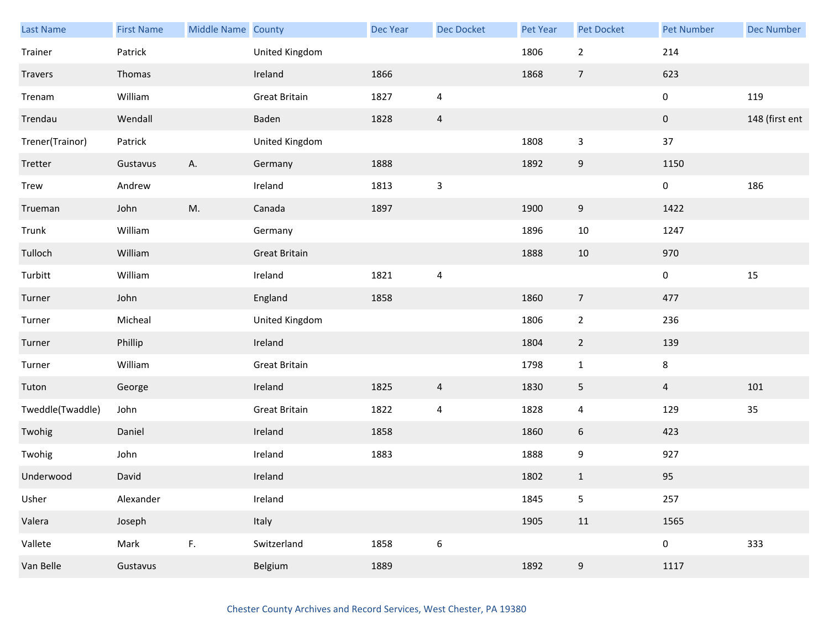| <b>Last Name</b> | <b>First Name</b> | Middle Name County |                      | <b>Dec Year</b> | Dec Docket              | Pet Year | <b>Pet Docket</b> | <b>Pet Number</b> | <b>Dec Number</b> |
|------------------|-------------------|--------------------|----------------------|-----------------|-------------------------|----------|-------------------|-------------------|-------------------|
| Trainer          | Patrick           |                    | United Kingdom       |                 |                         | 1806     | $\overline{2}$    | 214               |                   |
| Travers          | Thomas            |                    | Ireland              | 1866            |                         | 1868     | $\overline{7}$    | 623               |                   |
| Trenam           | William           |                    | <b>Great Britain</b> | 1827            | $\overline{4}$          |          |                   | $\pmb{0}$         | 119               |
| Trendau          | Wendall           |                    | Baden                | 1828            | $\overline{a}$          |          |                   | $\pmb{0}$         | 148 (first ent    |
| Trener(Trainor)  | Patrick           |                    | United Kingdom       |                 |                         | 1808     | $\mathbf{3}$      | 37                |                   |
| Tretter          | Gustavus          | Α.                 | Germany              | 1888            |                         | 1892     | $\boldsymbol{9}$  | 1150              |                   |
| <b>Trew</b>      | Andrew            |                    | Ireland              | 1813            | $\mathsf 3$             |          |                   | 0                 | 186               |
| Trueman          | John              | M.                 | Canada               | 1897            |                         | 1900     | 9                 | 1422              |                   |
| Trunk            | William           |                    | Germany              |                 |                         | 1896     | $10\,$            | 1247              |                   |
| Tulloch          | William           |                    | <b>Great Britain</b> |                 |                         | 1888     | $10\,$            | 970               |                   |
| Turbitt          | William           |                    | Ireland              | 1821            | $\overline{\mathbf{4}}$ |          |                   | $\pmb{0}$         | 15                |
| Turner           | John              |                    | England              | 1858            |                         | 1860     | $\overline{7}$    | 477               |                   |
| Turner           | Micheal           |                    | United Kingdom       |                 |                         | 1806     | $\mathbf{2}$      | 236               |                   |
| Turner           | Phillip           |                    | Ireland              |                 |                         | 1804     | $\overline{2}$    | 139               |                   |
| Turner           | William           |                    | <b>Great Britain</b> |                 |                         | 1798     | $\mathbf 1$       | 8                 |                   |
| Tuton            | George            |                    | Ireland              | 1825            | $\overline{a}$          | 1830     | 5                 | $\overline{4}$    | 101               |
| Tweddle(Twaddle) | John              |                    | <b>Great Britain</b> | 1822            | $\overline{4}$          | 1828     | $\overline{4}$    | 129               | 35                |
| Twohig           | Daniel            |                    | Ireland              | 1858            |                         | 1860     | 6                 | 423               |                   |
| Twohig           | John              |                    | Ireland              | 1883            |                         | 1888     | 9                 | 927               |                   |
| Underwood        | David             |                    | Ireland              |                 |                         | 1802     | $\mathbf{1}$      | 95                |                   |
| Usher            | Alexander         |                    | Ireland              |                 |                         | 1845     | 5                 | 257               |                   |
| Valera           | Joseph            |                    | Italy                |                 |                         | 1905     | $11\,$            | 1565              |                   |
| Vallete          | Mark              | F.                 | Switzerland          | 1858            | $\boldsymbol{6}$        |          |                   | $\mathbf 0$       | 333               |
| Van Belle        | Gustavus          |                    | Belgium              | 1889            |                         | 1892     | $\boldsymbol{9}$  | 1117              |                   |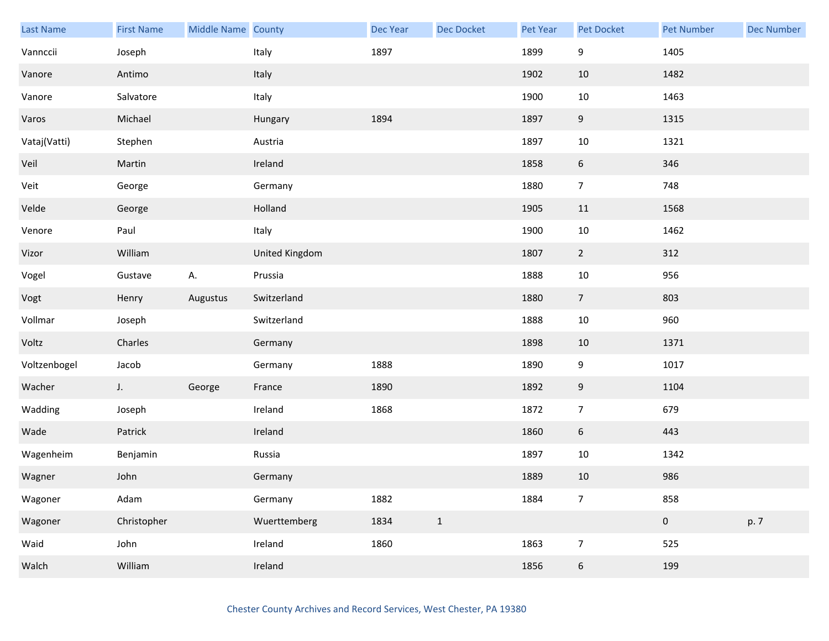| Last Name    | <b>First Name</b> | Middle Name County |                | Dec Year | Dec Docket   | Pet Year | Pet Docket       | <b>Pet Number</b> | <b>Dec Number</b> |
|--------------|-------------------|--------------------|----------------|----------|--------------|----------|------------------|-------------------|-------------------|
| Vannccii     | Joseph            |                    | Italy          | 1897     |              | 1899     | 9                | 1405              |                   |
| Vanore       | Antimo            |                    | Italy          |          |              | 1902     | 10               | 1482              |                   |
| Vanore       | Salvatore         |                    | Italy          |          |              | 1900     | $10\,$           | 1463              |                   |
| Varos        | Michael           |                    | Hungary        | 1894     |              | 1897     | 9                | 1315              |                   |
| Vataj(Vatti) | Stephen           |                    | Austria        |          |              | 1897     | $10\,$           | 1321              |                   |
| Veil         | Martin            |                    | Ireland        |          |              | 1858     | $\boldsymbol{6}$ | 346               |                   |
| Veit         | George            |                    | Germany        |          |              | 1880     | $\overline{7}$   | 748               |                   |
| Velde        | George            |                    | Holland        |          |              | 1905     | $11\,$           | 1568              |                   |
| Venore       | Paul              |                    | Italy          |          |              | 1900     | 10               | 1462              |                   |
| Vizor        | William           |                    | United Kingdom |          |              | 1807     | $\overline{2}$   | 312               |                   |
| Vogel        | Gustave           | А.                 | Prussia        |          |              | 1888     | 10               | 956               |                   |
| Vogt         | Henry             | Augustus           | Switzerland    |          |              | 1880     | $\overline{7}$   | 803               |                   |
| Vollmar      | Joseph            |                    | Switzerland    |          |              | 1888     | $10\,$           | 960               |                   |
| Voltz        | Charles           |                    | Germany        |          |              | 1898     | 10               | 1371              |                   |
| Voltzenbogel | Jacob             |                    | Germany        | 1888     |              | 1890     | $\boldsymbol{9}$ | 1017              |                   |
| Wacher       | J.                | George             | France         | 1890     |              | 1892     | $9\,$            | 1104              |                   |
| Wadding      | Joseph            |                    | Ireland        | 1868     |              | 1872     | $\overline{7}$   | 679               |                   |
| Wade         | Patrick           |                    | Ireland        |          |              | 1860     | $6\,$            | 443               |                   |
| Wagenheim    | Benjamin          |                    | Russia         |          |              | 1897     | $10\,$           | 1342              |                   |
| Wagner       | John              |                    | Germany        |          |              | 1889     | 10               | 986               |                   |
| Wagoner      | Adam              |                    | Germany        | 1882     |              | 1884     | $\overline{7}$   | 858               |                   |
| Wagoner      | Christopher       |                    | Wuerttemberg   | 1834     | $\mathbf{1}$ |          |                  | $\mathbf{0}$      | p. 7              |
| Waid         | John              |                    | Ireland        | 1860     |              | 1863     | $\boldsymbol{7}$ | 525               |                   |
| Walch        | William           |                    | Ireland        |          |              | 1856     | $\boldsymbol{6}$ | 199               |                   |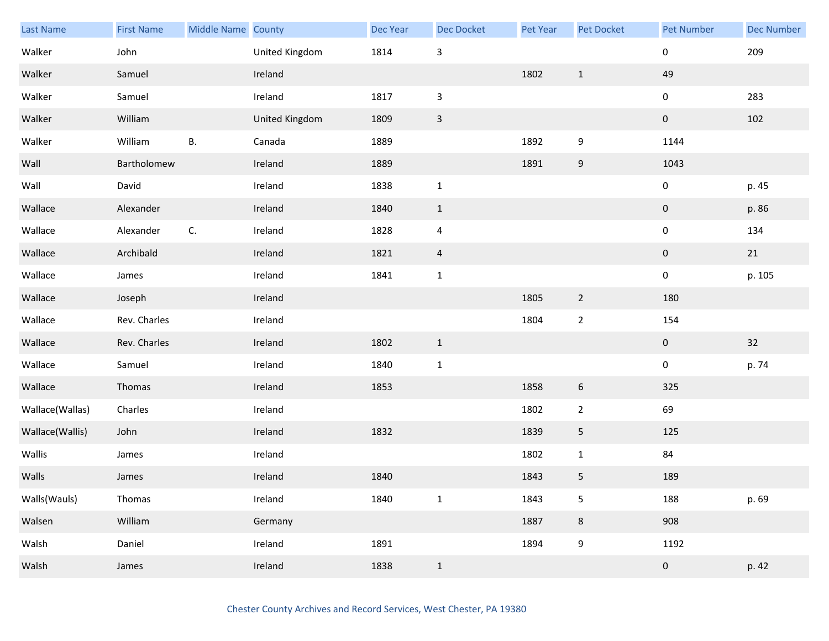| <b>Last Name</b> | <b>First Name</b> | Middle Name County |                | Dec Year | <b>Dec Docket</b>         | Pet Year | Pet Docket       | <b>Pet Number</b> | <b>Dec Number</b> |
|------------------|-------------------|--------------------|----------------|----------|---------------------------|----------|------------------|-------------------|-------------------|
| Walker           | John              |                    | United Kingdom | 1814     | $\mathbf{3}$              |          |                  | 0                 | 209               |
| Walker           | Samuel            |                    | Ireland        |          |                           | 1802     | $\mathbf{1}$     | 49                |                   |
| Walker           | Samuel            |                    | Ireland        | 1817     | $\ensuremath{\mathsf{3}}$ |          |                  | 0                 | 283               |
| Walker           | William           |                    | United Kingdom | 1809     | $\mathsf{3}$              |          |                  | $\pmb{0}$         | 102               |
| Walker           | William           | В.                 | Canada         | 1889     |                           | 1892     | 9                | 1144              |                   |
| Wall             | Bartholomew       |                    | Ireland        | 1889     |                           | 1891     | $\boldsymbol{9}$ | 1043              |                   |
| Wall             | David             |                    | Ireland        | 1838     | $\mathbf 1$               |          |                  | 0                 | p. 45             |
| Wallace          | Alexander         |                    | Ireland        | 1840     | $1\,$                     |          |                  | $\pmb{0}$         | p. 86             |
| Wallace          | Alexander         | C.                 | Ireland        | 1828     | $\sqrt{4}$                |          |                  | 0                 | 134               |
| Wallace          | Archibald         |                    | Ireland        | 1821     | $\overline{a}$            |          |                  | $\pmb{0}$         | 21                |
| Wallace          | James             |                    | Ireland        | 1841     | $\mathbf 1$               |          |                  | 0                 | p. 105            |
| Wallace          | Joseph            |                    | Ireland        |          |                           | 1805     | $\overline{2}$   | 180               |                   |
| Wallace          | Rev. Charles      |                    | Ireland        |          |                           | 1804     | $\overline{2}$   | 154               |                   |
| Wallace          | Rev. Charles      |                    | Ireland        | 1802     | $\mathbf{1}$              |          |                  | $\mathbf 0$       | 32                |
| Wallace          | Samuel            |                    | Ireland        | 1840     | $\mathbf 1$               |          |                  | $\pmb{0}$         | p. 74             |
| Wallace          | Thomas            |                    | Ireland        | 1853     |                           | 1858     | 6                | 325               |                   |
| Wallace(Wallas)  | Charles           |                    | Ireland        |          |                           | 1802     | $\overline{2}$   | 69                |                   |
| Wallace(Wallis)  | John              |                    | Ireland        | 1832     |                           | 1839     | 5                | 125               |                   |
| Wallis           | James             |                    | Ireland        |          |                           | 1802     | $\mathbf{1}$     | 84                |                   |
| Walls            | James             |                    | Ireland        | 1840     |                           | 1843     | 5                | 189               |                   |
| Walls(Wauls)     | Thomas            |                    | Ireland        | 1840     | $\mathbf 1$               | 1843     | 5                | 188               | p. 69             |
| Walsen           | William           |                    | Germany        |          |                           | 1887     | $\bf 8$          | 908               |                   |
| Walsh            | Daniel            |                    | Ireland        | 1891     |                           | 1894     | 9                | 1192              |                   |
| Walsh            | James             |                    | Ireland        | 1838     | $\mathbf{1}$              |          |                  | $\pmb{0}$         | p. 42             |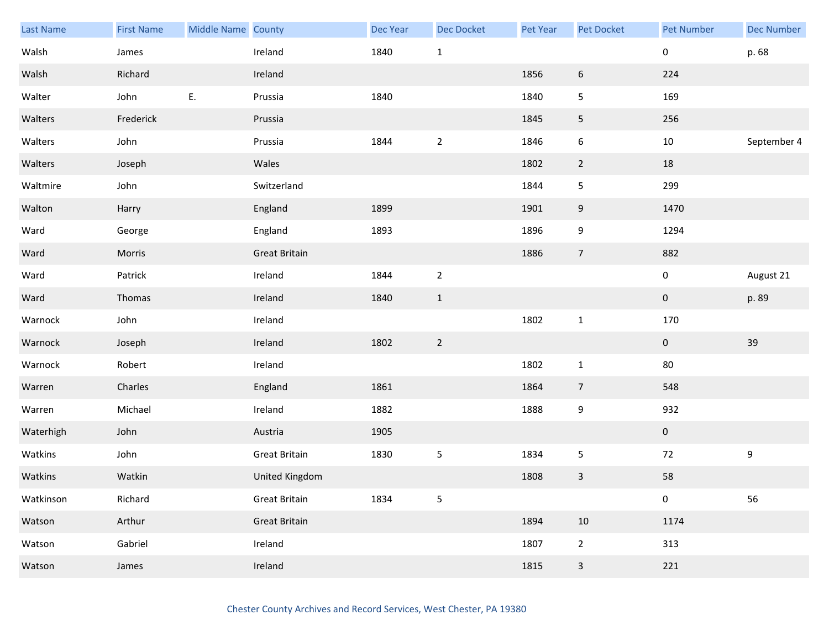| Last Name | <b>First Name</b> | Middle Name County |                      | Dec Year | <b>Dec Docket</b> | Pet Year | Pet Docket     | Pet Number     | <b>Dec Number</b> |
|-----------|-------------------|--------------------|----------------------|----------|-------------------|----------|----------------|----------------|-------------------|
| Walsh     | James             |                    | Ireland              | 1840     | $\mathbf 1$       |          |                | 0              | p. 68             |
| Walsh     | Richard           |                    | Ireland              |          |                   | 1856     | 6              | 224            |                   |
| Walter    | John              | Ε.                 | Prussia              | 1840     |                   | 1840     | 5              | 169            |                   |
| Walters   | Frederick         |                    | Prussia              |          |                   | 1845     | 5              | 256            |                   |
| Walters   | John              |                    | Prussia              | 1844     | $\mathbf 2$       | 1846     | 6              | $10\,$         | September 4       |
| Walters   | Joseph            |                    | Wales                |          |                   | 1802     | $\overline{2}$ | $18\,$         |                   |
| Waltmire  | John              |                    | Switzerland          |          |                   | 1844     | 5              | 299            |                   |
| Walton    | Harry             |                    | England              | 1899     |                   | 1901     | 9              | 1470           |                   |
| Ward      | George            |                    | England              | 1893     |                   | 1896     | 9              | 1294           |                   |
| Ward      | Morris            |                    | <b>Great Britain</b> |          |                   | 1886     | $\overline{7}$ | 882            |                   |
| Ward      | Patrick           |                    | Ireland              | 1844     | $\mathbf 2$       |          |                | 0              | August 21         |
| Ward      | Thomas            |                    | Ireland              | 1840     | $1\,$             |          |                | $\mathbf{0}$   | p. 89             |
| Warnock   | John              |                    | Ireland              |          |                   | 1802     | $\mathbf{1}$   | 170            |                   |
| Warnock   | Joseph            |                    | Ireland              | 1802     | $\overline{2}$    |          |                | $\mathbf 0$    | 39                |
| Warnock   | Robert            |                    | Ireland              |          |                   | 1802     | $\mathbf{1}$   | $80\,$         |                   |
| Warren    | Charles           |                    | England              | 1861     |                   | 1864     | $\overline{7}$ | 548            |                   |
| Warren    | Michael           |                    | Ireland              | 1882     |                   | 1888     | 9              | 932            |                   |
| Waterhigh | John              |                    | Austria              | 1905     |                   |          |                | $\overline{0}$ |                   |
| Watkins   | John              |                    | <b>Great Britain</b> | 1830     | $\sqrt{5}$        | 1834     | 5              | 72             | 9                 |
| Watkins   | Watkin            |                    | United Kingdom       |          |                   | 1808     | 3              | 58             |                   |
| Watkinson | Richard           |                    | <b>Great Britain</b> | 1834     | $\mathsf S$       |          |                | $\pmb{0}$      | 56                |
| Watson    | Arthur            |                    | <b>Great Britain</b> |          |                   | 1894     | 10             | 1174           |                   |
| Watson    | Gabriel           |                    | Ireland              |          |                   | 1807     | $\overline{2}$ | 313            |                   |
| Watson    | James             |                    | Ireland              |          |                   | 1815     | $\mathbf{3}$   | 221            |                   |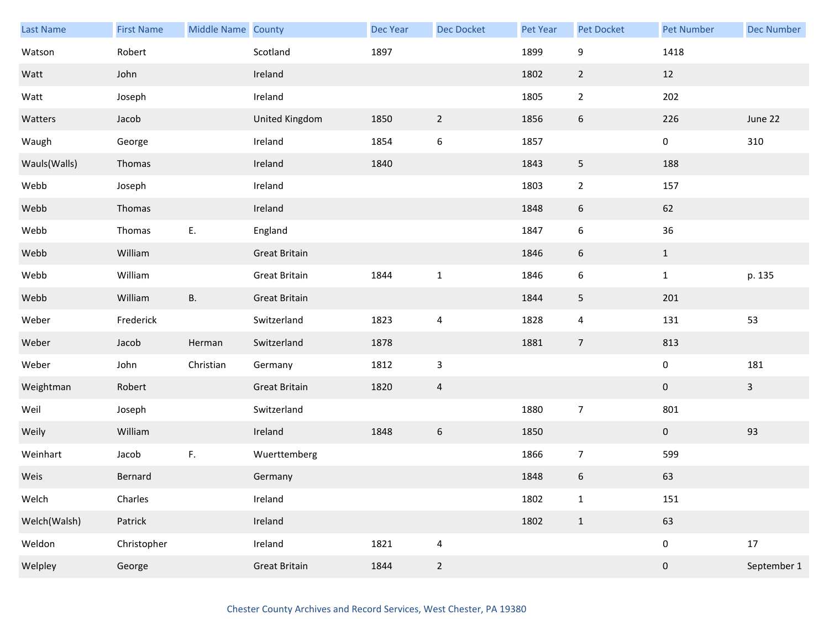| Last Name    | <b>First Name</b> | Middle Name County |                      | Dec Year | Dec Docket     | Pet Year | Pet Docket              | <b>Pet Number</b> | <b>Dec Number</b> |
|--------------|-------------------|--------------------|----------------------|----------|----------------|----------|-------------------------|-------------------|-------------------|
| Watson       | Robert            |                    | Scotland             | 1897     |                | 1899     | 9                       | 1418              |                   |
| Watt         | John              |                    | Ireland              |          |                | 1802     | $\overline{2}$          | 12                |                   |
| Watt         | Joseph            |                    | Ireland              |          |                | 1805     | $\mathbf{2}$            | 202               |                   |
| Watters      | Jacob             |                    | United Kingdom       | 1850     | $\overline{2}$ | 1856     | 6                       | 226               | June 22           |
| Waugh        | George            |                    | Ireland              | 1854     | 6              | 1857     |                         | 0                 | 310               |
| Wauls(Walls) | Thomas            |                    | Ireland              | 1840     |                | 1843     | $\overline{\mathbf{5}}$ | 188               |                   |
| Webb         | Joseph            |                    | Ireland              |          |                | 1803     | $\overline{2}$          | 157               |                   |
| Webb         | Thomas            |                    | Ireland              |          |                | 1848     | 6                       | 62                |                   |
| Webb         | Thomas            | Ε.                 | England              |          |                | 1847     | 6                       | $36\,$            |                   |
| Webb         | William           |                    | <b>Great Britain</b> |          |                | 1846     | 6                       | $\mathbf{1}$      |                   |
| Webb         | William           |                    | <b>Great Britain</b> | 1844     | $\mathbf 1$    | 1846     | 6                       | $\mathbf{1}$      | p. 135            |
| Webb         | William           | <b>B.</b>          | <b>Great Britain</b> |          |                | 1844     | 5                       | 201               |                   |
| Weber        | Frederick         |                    | Switzerland          | 1823     | 4              | 1828     | $\overline{4}$          | 131               | 53                |
| Weber        | Jacob             | Herman             | Switzerland          | 1878     |                | 1881     | $\overline{7}$          | 813               |                   |
| Weber        | John              | Christian          | Germany              | 1812     | $\mathsf 3$    |          |                         | $\pmb{0}$         | 181               |
| Weightman    | Robert            |                    | <b>Great Britain</b> | 1820     | $\overline{a}$ |          |                         | $\mathbf 0$       | $\overline{3}$    |
| Weil         | Joseph            |                    | Switzerland          |          |                | 1880     | $\overline{7}$          | 801               |                   |
| Weily        | William           |                    | Ireland              | 1848     | 6              | 1850     |                         | $\mathbf{0}$      | 93                |
| Weinhart     | Jacob             | F.                 | Wuerttemberg         |          |                | 1866     | $\overline{7}$          | 599               |                   |
| Weis         | Bernard           |                    | Germany              |          |                | 1848     | 6                       | 63                |                   |
| Welch        | Charles           |                    | Ireland              |          |                | 1802     | $\mathbf 1$             | 151               |                   |
| Welch(Walsh) | Patrick           |                    | Ireland              |          |                | 1802     | $\mathbf{1}$            | 63                |                   |
| Weldon       | Christopher       |                    | Ireland              | 1821     | 4              |          |                         | 0                 | 17                |
| Welpley      | George            |                    | <b>Great Britain</b> | 1844     | $\overline{2}$ |          |                         | $\pmb{0}$         | September 1       |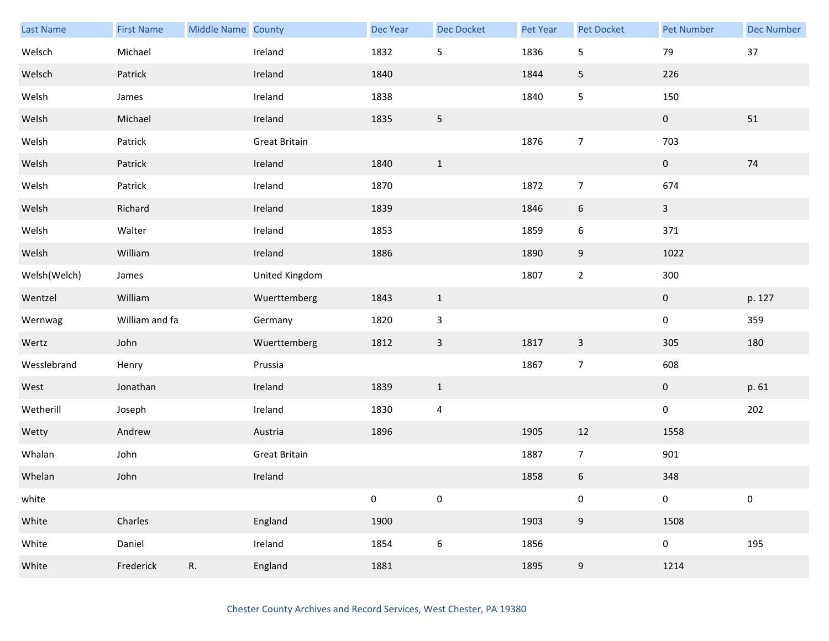| Last Name    | <b>First Name</b> | Middle Name County |                      | <b>Dec Year</b> | Dec Docket       | Pet Year | <b>Pet Docket</b> | <b>Pet Number</b> | <b>Dec Number</b> |
|--------------|-------------------|--------------------|----------------------|-----------------|------------------|----------|-------------------|-------------------|-------------------|
| Welsch       | Michael           |                    | Ireland              | 1832            | $\mathsf S$      | 1836     | $\mathsf S$       | 79                | $37\,$            |
| Welsch       | Patrick           |                    | Ireland              | 1840            |                  | 1844     | 5                 | 226               |                   |
| Welsh        | James             |                    | Ireland              | 1838            |                  | 1840     | 5                 | 150               |                   |
| Welsh        | Michael           |                    | Ireland              | 1835            | $5\phantom{.0}$  |          |                   | $\pmb{0}$         | $51\,$            |
| Welsh        | Patrick           |                    | <b>Great Britain</b> |                 |                  | 1876     | $\overline{7}$    | 703               |                   |
| Welsh        | Patrick           |                    | Ireland              | 1840            | $\mathbf{1}$     |          |                   | $\pmb{0}$         | $74\,$            |
| Welsh        | Patrick           |                    | Ireland              | 1870            |                  | 1872     | $\overline{7}$    | 674               |                   |
| Welsh        | Richard           |                    | Ireland              | 1839            |                  | 1846     | $\sqrt{6}$        | $\overline{3}$    |                   |
| Welsh        | Walter            |                    | Ireland              | 1853            |                  | 1859     | $\boldsymbol{6}$  | 371               |                   |
| Welsh        | William           |                    | Ireland              | 1886            |                  | 1890     | 9                 | 1022              |                   |
| Welsh(Welch) | James             |                    | United Kingdom       |                 |                  | 1807     | $\overline{2}$    | 300               |                   |
| Wentzel      | William           |                    | Wuerttemberg         | 1843            | $\mathbf{1}$     |          |                   | $\pmb{0}$         | p. 127            |
| Wernwag      | William and fa    |                    | Germany              | 1820            | $\mathsf 3$      |          |                   | $\pmb{0}$         | 359               |
| Wertz        | John              |                    | Wuerttemberg         | 1812            | $\mathbf{3}$     | 1817     | $\mathbf{3}$      | 305               | 180               |
| Wesslebrand  | Henry             |                    | Prussia              |                 |                  | 1867     | $\overline{7}$    | 608               |                   |
| West         | Jonathan          |                    | Ireland              | 1839            | $\mathbf{1}$     |          |                   | $\mathbf 0$       | p. 61             |
| Wetherill    | Joseph            |                    | Ireland              | 1830            | $\overline{4}$   |          |                   | $\pmb{0}$         | 202               |
| Wetty        | Andrew            |                    | Austria              | 1896            |                  | 1905     | 12                | 1558              |                   |
| Whalan       | John              |                    | <b>Great Britain</b> |                 |                  | 1887     | $\overline{7}$    | 901               |                   |
| Whelan       | John              |                    | Ireland              |                 |                  | 1858     | $\boldsymbol{6}$  | 348               |                   |
| white        |                   |                    |                      | $\pmb{0}$       | $\pmb{0}$        |          | $\pmb{0}$         | $\pmb{0}$         | $\pmb{0}$         |
| White        | Charles           |                    | England              | 1900            |                  | 1903     | 9                 | 1508              |                   |
| White        | Daniel            |                    | Ireland              | 1854            | $\boldsymbol{6}$ | 1856     |                   | $\pmb{0}$         | 195               |
| White        | Frederick         | R.                 | England              | 1881            |                  | 1895     | 9                 | 1214              |                   |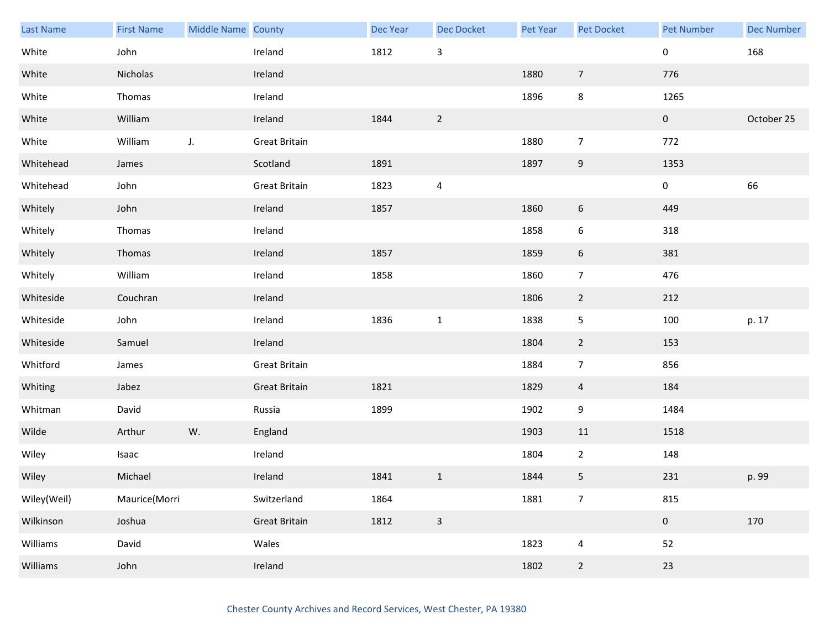| Last Name   | <b>First Name</b> | Middle Name County |                      | Dec Year | <b>Dec Docket</b>         | <b>Pet Year</b> | Pet Docket       | <b>Pet Number</b> | <b>Dec Number</b> |
|-------------|-------------------|--------------------|----------------------|----------|---------------------------|-----------------|------------------|-------------------|-------------------|
| White       | John              |                    | Ireland              | 1812     | $\ensuremath{\mathsf{3}}$ |                 |                  | 0                 | 168               |
| White       | Nicholas          |                    | Ireland              |          |                           | 1880            | $\overline{7}$   | 776               |                   |
| White       | Thomas            |                    | Ireland              |          |                           | 1896            | 8                | 1265              |                   |
| White       | William           |                    | Ireland              | 1844     | $\overline{2}$            |                 |                  | $\mathbf{0}$      | October 25        |
| White       | William           | J.                 | <b>Great Britain</b> |          |                           | 1880            | $\overline{7}$   | 772               |                   |
| Whitehead   | James             |                    | Scotland             | 1891     |                           | 1897            | $\boldsymbol{9}$ | 1353              |                   |
| Whitehead   | John              |                    | <b>Great Britain</b> | 1823     | $\overline{4}$            |                 |                  | 0                 | 66                |
| Whitely     | John              |                    | Ireland              | 1857     |                           | 1860            | 6                | 449               |                   |
| Whitely     | Thomas            |                    | Ireland              |          |                           | 1858            | 6                | 318               |                   |
| Whitely     | Thomas            |                    | Ireland              | 1857     |                           | 1859            | 6                | 381               |                   |
| Whitely     | William           |                    | Ireland              | 1858     |                           | 1860            | $\overline{7}$   | 476               |                   |
| Whiteside   | Couchran          |                    | Ireland              |          |                           | 1806            | $\overline{2}$   | 212               |                   |
| Whiteside   | John              |                    | Ireland              | 1836     | $\mathbf 1$               | 1838            | 5                | 100               | p. 17             |
| Whiteside   | Samuel            |                    | Ireland              |          |                           | 1804            | $\overline{2}$   | 153               |                   |
| Whitford    | James             |                    | <b>Great Britain</b> |          |                           | 1884            | $\overline{7}$   | 856               |                   |
| Whiting     | Jabez             |                    | <b>Great Britain</b> | 1821     |                           | 1829            | $\overline{4}$   | 184               |                   |
| Whitman     | David             |                    | Russia               | 1899     |                           | 1902            | 9                | 1484              |                   |
| Wilde       | Arthur            | W.                 | England              |          |                           | 1903            | 11               | 1518              |                   |
| Wiley       | Isaac             |                    | Ireland              |          |                           | 1804            | $\overline{2}$   | 148               |                   |
| Wiley       | Michael           |                    | Ireland              | 1841     | $1\,$                     | 1844            | 5                | 231               | p. 99             |
| Wiley(Weil) | Maurice(Morri     |                    | Switzerland          | 1864     |                           | 1881            | $\overline{7}$   | 815               |                   |
| Wilkinson   | Joshua            |                    | <b>Great Britain</b> | 1812     | $\mathsf{3}$              |                 |                  | $\pmb{0}$         | 170               |
| Williams    | David             |                    | Wales                |          |                           | 1823            | $\overline{4}$   | 52                |                   |
| Williams    | John              |                    | Ireland              |          |                           | 1802            | $\overline{2}$   | 23                |                   |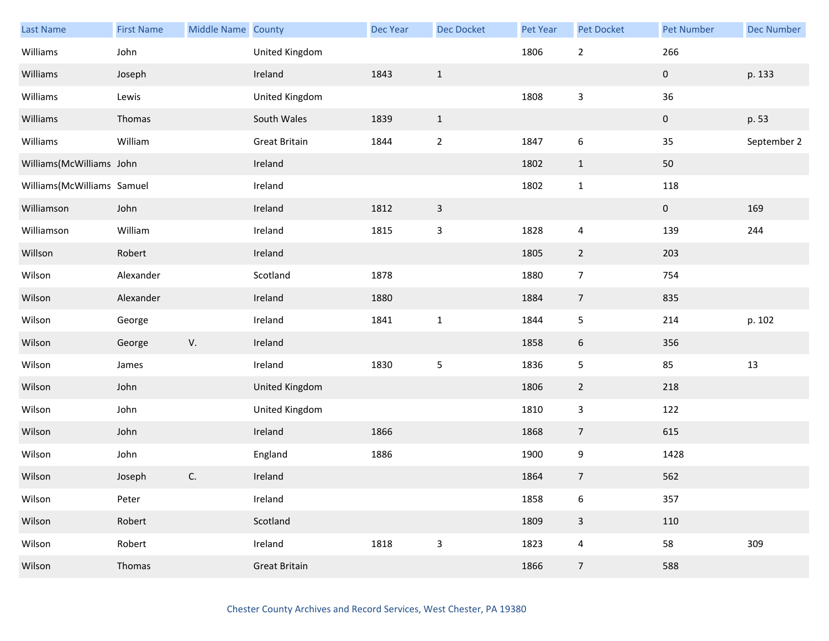| <b>Last Name</b>           | <b>First Name</b> | Middle Name County |                      | Dec Year | Dec Docket                | Pet Year | Pet Docket              | <b>Pet Number</b>   | <b>Dec Number</b> |
|----------------------------|-------------------|--------------------|----------------------|----------|---------------------------|----------|-------------------------|---------------------|-------------------|
| Williams                   | John              |                    | United Kingdom       |          |                           | 1806     | $\overline{2}$          | 266                 |                   |
| Williams                   | Joseph            |                    | Ireland              | 1843     | $\mathbf 1$               |          |                         | $\pmb{0}$           | p. 133            |
| Williams                   | Lewis             |                    | United Kingdom       |          |                           | 1808     | $\mathbf{3}$            | 36                  |                   |
| Williams                   | Thomas            |                    | South Wales          | 1839     | $\mathbf{1}$              |          |                         | $\mathbf{0}$        | p. 53             |
| Williams                   | William           |                    | <b>Great Britain</b> | 1844     | $\overline{2}$            | 1847     | 6                       | 35                  | September 2       |
| Williams(McWilliams John   |                   |                    | Ireland              |          |                           | 1802     | $\mathbf{1}$            | 50                  |                   |
| Williams(McWilliams Samuel |                   |                    | Ireland              |          |                           | 1802     | $\mathbf{1}$            | 118                 |                   |
| Williamson                 | John              |                    | Ireland              | 1812     | $\mathsf{3}$              |          |                         | $\mathsf{O}\xspace$ | 169               |
| Williamson                 | William           |                    | Ireland              | 1815     | $\ensuremath{\mathsf{3}}$ | 1828     | $\overline{a}$          | 139                 | 244               |
| Willson                    | Robert            |                    | Ireland              |          |                           | 1805     | $\overline{2}$          | 203                 |                   |
| Wilson                     | Alexander         |                    | Scotland             | 1878     |                           | 1880     | $\overline{7}$          | 754                 |                   |
| Wilson                     | Alexander         |                    | Ireland              | 1880     |                           | 1884     | $\overline{7}$          | 835                 |                   |
| Wilson                     | George            |                    | Ireland              | 1841     | $\mathbf 1$               | 1844     | $\overline{5}$          | 214                 | p. 102            |
| Wilson                     | George            | V.                 | Ireland              |          |                           | 1858     | 6                       | 356                 |                   |
| Wilson                     | James             |                    | Ireland              | 1830     | 5                         | 1836     | $\overline{5}$          | 85                  | 13                |
| Wilson                     | John              |                    | United Kingdom       |          |                           | 1806     | $\overline{2}$          | 218                 |                   |
| Wilson                     | John              |                    | United Kingdom       |          |                           | 1810     | $\overline{\mathbf{3}}$ | 122                 |                   |
| Wilson                     | John              |                    | Ireland              | 1866     |                           | 1868     | $\overline{7}$          | 615                 |                   |
| Wilson                     | John              |                    | England              | 1886     |                           | 1900     | $9\,$                   | 1428                |                   |
| Wilson                     | Joseph            | C.                 | Ireland              |          |                           | 1864     | $\overline{7}$          | 562                 |                   |
| Wilson                     | Peter             |                    | Ireland              |          |                           | 1858     | 6                       | 357                 |                   |
| Wilson                     | Robert            |                    | Scotland             |          |                           | 1809     | $\mathbf{3}$            | 110                 |                   |
| Wilson                     | Robert            |                    | Ireland              | 1818     | $\mathbf{3}$              | 1823     | $\overline{a}$          | 58                  | 309               |
| Wilson                     | Thomas            |                    | <b>Great Britain</b> |          |                           | 1866     | $\overline{7}$          | 588                 |                   |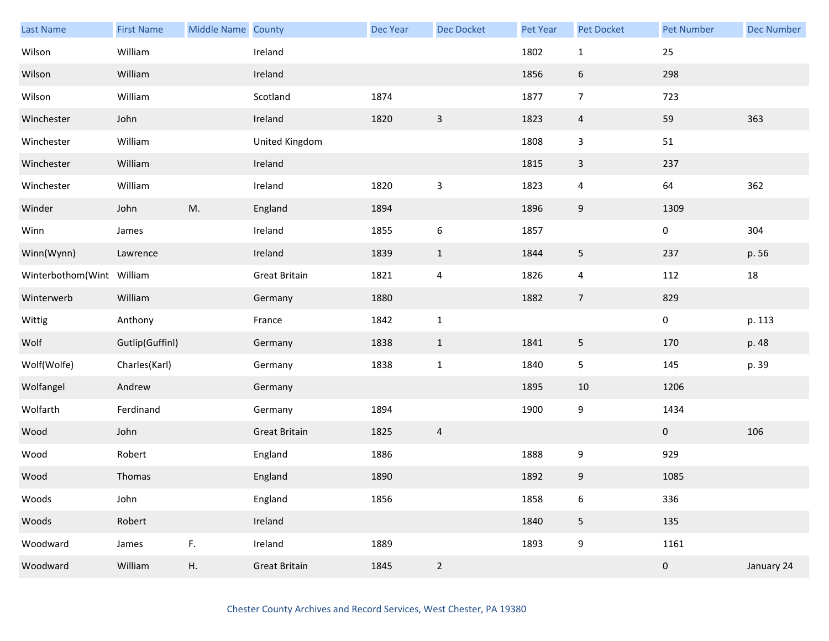| <b>Last Name</b>          | <b>First Name</b> | Middle Name County |                      | Dec Year | Dec Docket                | Pet Year | Pet Docket       | <b>Pet Number</b> | <b>Dec Number</b> |
|---------------------------|-------------------|--------------------|----------------------|----------|---------------------------|----------|------------------|-------------------|-------------------|
| Wilson                    | William           |                    | Ireland              |          |                           | 1802     | $\mathbf{1}$     | 25                |                   |
| Wilson                    | William           |                    | Ireland              |          |                           | 1856     | $\boldsymbol{6}$ | 298               |                   |
| Wilson                    | William           |                    | Scotland             | 1874     |                           | 1877     | $\overline{7}$   | 723               |                   |
| Winchester                | John              |                    | Ireland              | 1820     | $\overline{3}$            | 1823     | $\overline{4}$   | 59                | 363               |
| Winchester                | William           |                    | United Kingdom       |          |                           | 1808     | 3                | $51\,$            |                   |
| Winchester                | William           |                    | Ireland              |          |                           | 1815     | $\mathsf{3}$     | 237               |                   |
| Winchester                | William           |                    | Ireland              | 1820     | $\ensuremath{\mathsf{3}}$ | 1823     | 4                | 64                | 362               |
| Winder                    | John              | M.                 | England              | 1894     |                           | 1896     | $\boldsymbol{9}$ | 1309              |                   |
| Winn                      | James             |                    | Ireland              | 1855     | 6                         | 1857     |                  | 0                 | 304               |
| Winn(Wynn)                | Lawrence          |                    | Ireland              | 1839     | $\mathbf{1}$              | 1844     | 5                | 237               | p. 56             |
| Winterbothom(Wint William |                   |                    | <b>Great Britain</b> | 1821     | $\overline{4}$            | 1826     | 4                | 112               | $18\,$            |
| Winterwerb                | William           |                    | Germany              | 1880     |                           | 1882     | $\overline{7}$   | 829               |                   |
| Wittig                    | Anthony           |                    | France               | 1842     | $\mathbf 1$               |          |                  | 0                 | p. 113            |
| Wolf                      | Gutlip(Guffinl)   |                    | Germany              | 1838     | $\mathbf{1}$              | 1841     | 5                | 170               | p. 48             |
| Wolf(Wolfe)               | Charles(Karl)     |                    | Germany              | 1838     | $\mathbf 1$               | 1840     | $\mathsf S$      | 145               | p. 39             |
| Wolfangel                 | Andrew            |                    | Germany              |          |                           | 1895     | 10               | 1206              |                   |
| Wolfarth                  | Ferdinand         |                    | Germany              | 1894     |                           | 1900     | 9                | 1434              |                   |
| Wood                      | John              |                    | <b>Great Britain</b> | 1825     | $\overline{4}$            |          |                  | $\mathbf{0}$      | 106               |
| Wood                      | Robert            |                    | England              | 1886     |                           | 1888     | 9                | 929               |                   |
| Wood                      | Thomas            |                    | England              | 1890     |                           | 1892     | 9                | 1085              |                   |
| Woods                     | John              |                    | England              | 1856     |                           | 1858     | 6                | 336               |                   |
| Woods                     | Robert            |                    | Ireland              |          |                           | 1840     | 5                | 135               |                   |
| Woodward                  | James             | F.                 | Ireland              | 1889     |                           | 1893     | 9                | 1161              |                   |
| Woodward                  | William           | Η.                 | <b>Great Britain</b> | 1845     | $\overline{2}$            |          |                  | $\pmb{0}$         | January 24        |